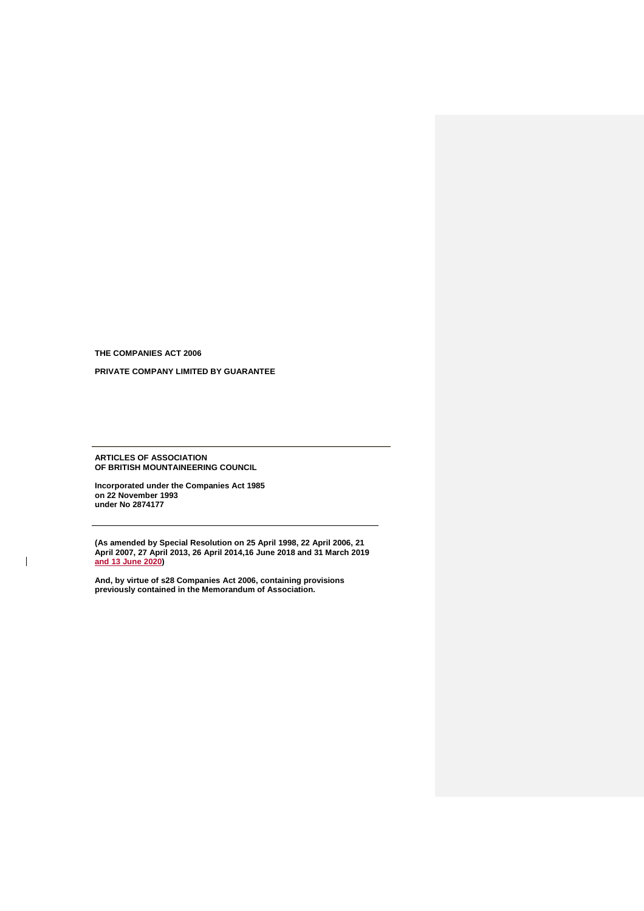**THE COMPANIES ACT 2006**

 $\overline{\phantom{a}}$ 

**PRIVATE COMPANY LIMITED BY GUARANTEE**

**ARTICLES OF ASSOCIATION OF BRITISH MOUNTAINEERING COUNCIL**

**Incorporated under the Companies Act 1985 on 22 November 1993 under No 2874177** 

**(As amended by Special Resolution on 25 April 1998, 22 April 2006, 21 April 2007, 27 April 2013, 26 April 2014,16 June 2018 and 31 March 2019 and 13 June 2020)**

**And, by virtue of s28 Companies Act 2006, containing provisions previously contained in the Memorandum of Association.**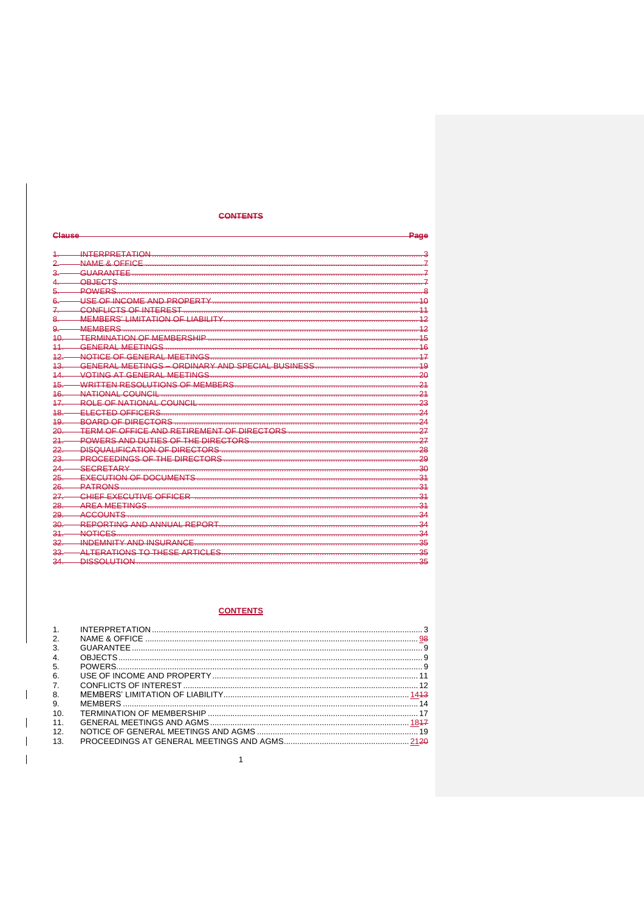## **CONTENTS**

| Clause                  |                                                                                                               | Page            |
|-------------------------|---------------------------------------------------------------------------------------------------------------|-----------------|
|                         |                                                                                                               |                 |
| $\overline{2}$          |                                                                                                               |                 |
| $\overline{\mathbf{r}}$ |                                                                                                               |                 |
|                         | OR IECTS                                                                                                      |                 |
| 5.                      | POWERS                                                                                                        |                 |
| 6.                      |                                                                                                               |                 |
| $\mathcal{I}$           | CONFLICTS OF INTEREST                                                                                         |                 |
| 8                       | MEMBERS' I IMITATION OF I JABILITY NATIONAL CONTROLLER CONTROLLER CONTROLLER CONTROLLER CONTROLLER CONTROLLER |                 |
| $\mathbf{Q}$            | <b>MEMBERS</b>                                                                                                | 12              |
| $40 -$                  | <b>TERMINATION OF MEMBERSHIP</b>                                                                              | 15              |
| 11                      | GENERAL MEETINGS                                                                                              | 16              |
| $12 -$                  | NOTICE OF GENERAL MEETINGS                                                                                    | 17              |
| $43 -$                  | GENERAL MEETINGS - ORDINARY AND SPECIAL BUSINESS                                                              | $\frac{10}{19}$ |
| 14                      | VOTING AT GENERAL MEETINGS                                                                                    | -20             |
| 45.                     | WRITTEN RESOLUTIONS OF MEMBERS                                                                                | $\overline{21}$ |
| 46.                     | NATIONAL COLINCIL                                                                                             | 21              |
| $17 -$                  |                                                                                                               | 23              |
| $48 -$                  | <u>ELECTED OFFICERS</u>                                                                                       | 24              |
| 19                      | BOARD OF DIRECTORS                                                                                            | 24              |
| $20 -$                  | TERM OF OFFICE AND RETIREMENT OF DIRECTORS                                                                    | 27              |
| 21                      |                                                                                                               | $-27$           |
| 22                      |                                                                                                               |                 |
| 23.                     | PROCEEDINGS OF THE DIRECTORS                                                                                  | $-29$           |
| $24 -$                  | SECRETARY                                                                                                     | $-30$           |
| $25 -$                  |                                                                                                               |                 |
| $26 -$                  | PATRONS                                                                                                       |                 |
| $27 -$                  |                                                                                                               | $\sim$ 31       |
| $28 -$                  | <b>AREA MEETINGS</b>                                                                                          | $\sim$ 31       |
| 29.                     | <b>ACCOUNTS</b>                                                                                               | -34             |
| 30.                     |                                                                                                               | $-34$           |
| 31                      | <b>NOTICES</b>                                                                                                | $-34$           |
| 32                      | <b>INDEMNITY AND INSURANCE</b>                                                                                | $-35$           |
| $33 -$                  |                                                                                                               | 35              |
| 34.                     | <b>DISSOLUTION</b>                                                                                            | 35              |

# **CONTENTS**

| 1 <sup>1</sup> |  |
|----------------|--|
| 2.             |  |
| 3.             |  |
| 4.             |  |
| -5.            |  |
| 6.             |  |
| 7 <sub>1</sub> |  |
| 8.             |  |
| 9.             |  |
| 10.            |  |
| 11.            |  |
| 12.            |  |
| 13.            |  |

 $\overline{\phantom{a}}$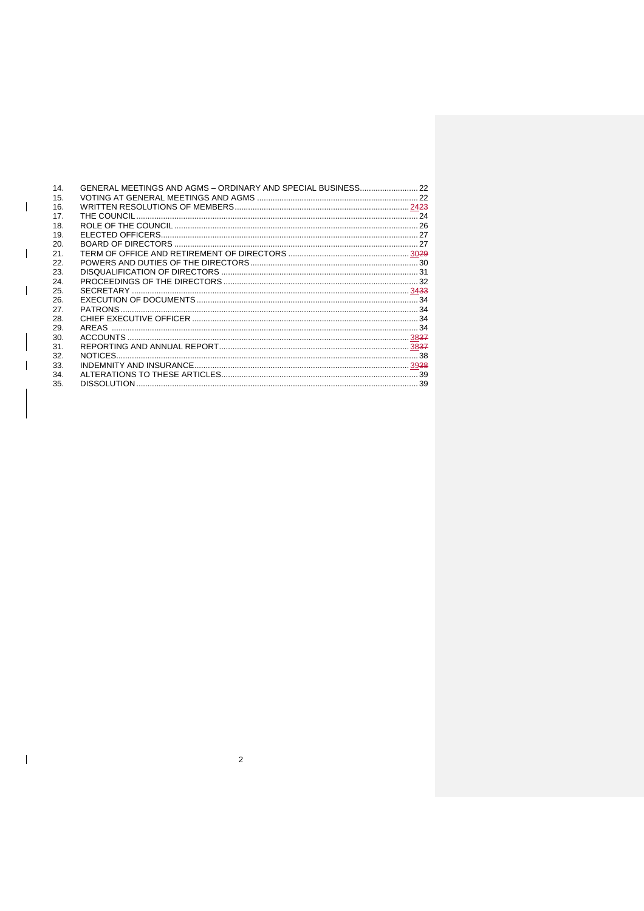| 14. |  |
|-----|--|
| 15. |  |
| 16. |  |
| 17. |  |
| 18. |  |
| 19. |  |
| 20. |  |
| 21. |  |
| 22. |  |
| 23. |  |
| 24. |  |
| 25. |  |
| 26. |  |
| 27. |  |
| 28. |  |
| 29. |  |
| 30. |  |
| 31. |  |
| 32. |  |
| 33. |  |
| 34. |  |
| 35. |  |
|     |  |

 $\overline{\mathbf{c}}$ 

 $\begin{array}{c} \hline \end{array}$ 

 $\overline{\phantom{a}}$ 

 $\overline{\phantom{a}}$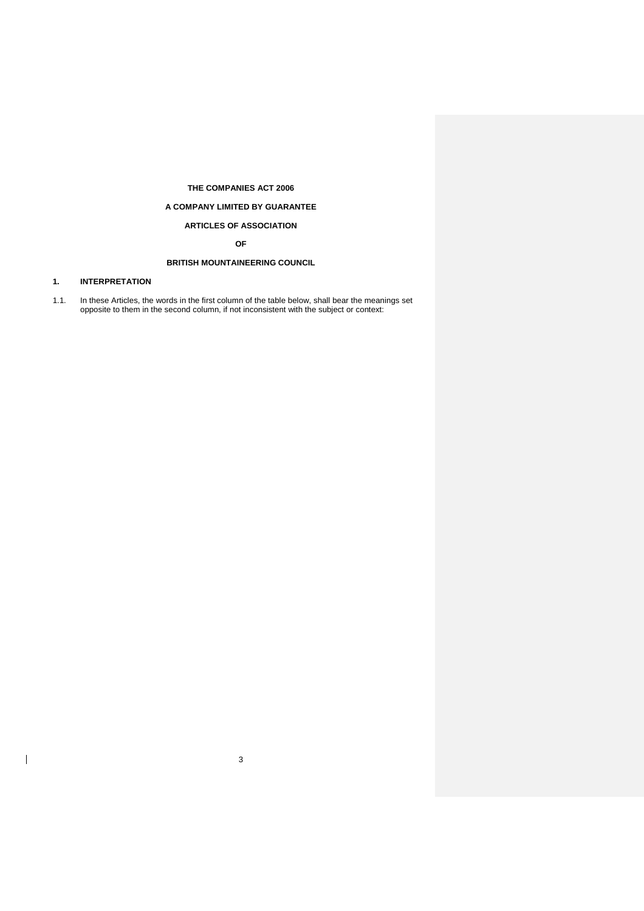## **THE COMPANIES ACT 2006**

## **A COMPANY LIMITED BY GUARANTEE**

# **ARTICLES OF ASSOCIATION**

**OF**

# **BRITISH MOUNTAINEERING COUNCIL**

# <span id="page-3-0"></span>**1. INTERPRETATION**

 $\overline{\phantom{a}}$ 

1.1. In these Articles, the words in the first column of the table below, shall bear the meanings set opposite to them in the second column, if not inconsistent with the subject or context:

3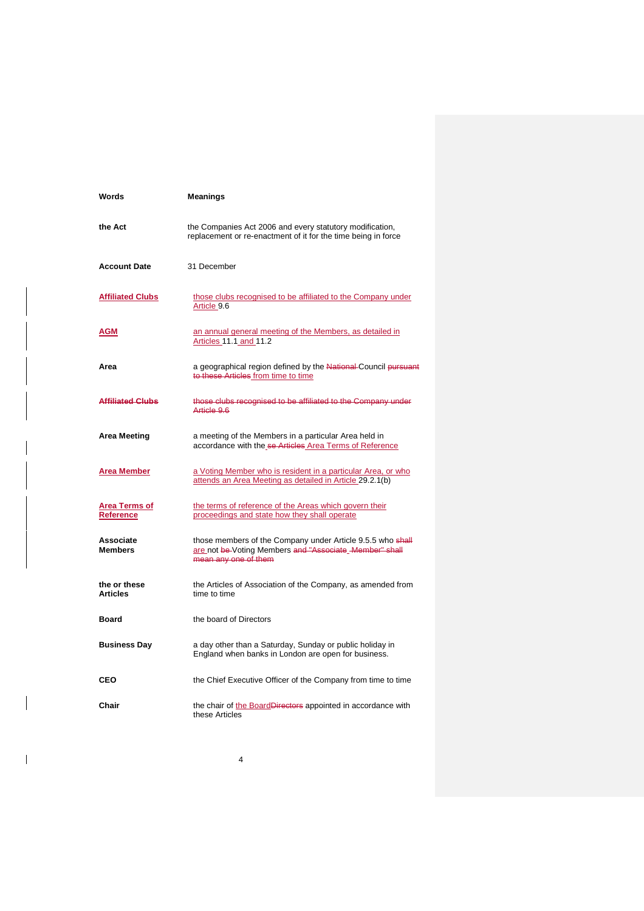| Words                             | Meanings                                                                                                                                     |
|-----------------------------------|----------------------------------------------------------------------------------------------------------------------------------------------|
| the Act                           | the Companies Act 2006 and every statutory modification,<br>replacement or re-enactment of it for the time being in force                    |
| <b>Account Date</b>               | 31 December                                                                                                                                  |
| <b>Affiliated Clubs</b>           | those clubs recognised to be affiliated to the Company under<br>Article 9.6                                                                  |
| AGM                               | an annual general meeting of the Members, as detailed in<br>Articles 11.1 and 11.2                                                           |
| Area                              | a geographical region defined by the National Council pursuant<br>to these Articles from time to time                                        |
| <b>Affiliated Clubs</b>           | those clubs recognised to be affiliated to the Company under<br>Article 9.6                                                                  |
| Area Meeting                      | a meeting of the Members in a particular Area held in<br>accordance with the se Articles Area Terms of Reference                             |
| Area Member                       | a Voting Member who is resident in a particular Area, or who<br>attends an Area Meeting as detailed in Article 29.2.1(b)                     |
| <b>Area Terms of</b><br>Reference | the terms of reference of the Areas which govern their<br>proceedings and state how they shall operate                                       |
| Associate<br><b>Members</b>       | those members of the Company under Article 9.5.5 who shall<br>are not be Voting Members and "Associate Member" shall<br>mean any one of them |
| the or these<br><b>Articles</b>   | the Articles of Association of the Company, as amended from<br>time to time                                                                  |
| <b>Board</b>                      | the board of Directors                                                                                                                       |
| <b>Business Day</b>               | a day other than a Saturday, Sunday or public holiday in<br>England when banks in London are open for business.                              |
| CEO                               | the Chief Executive Officer of the Company from time to time                                                                                 |
| Chair                             | the chair of the BoardDirectors appointed in accordance with<br>these Articles                                                               |

4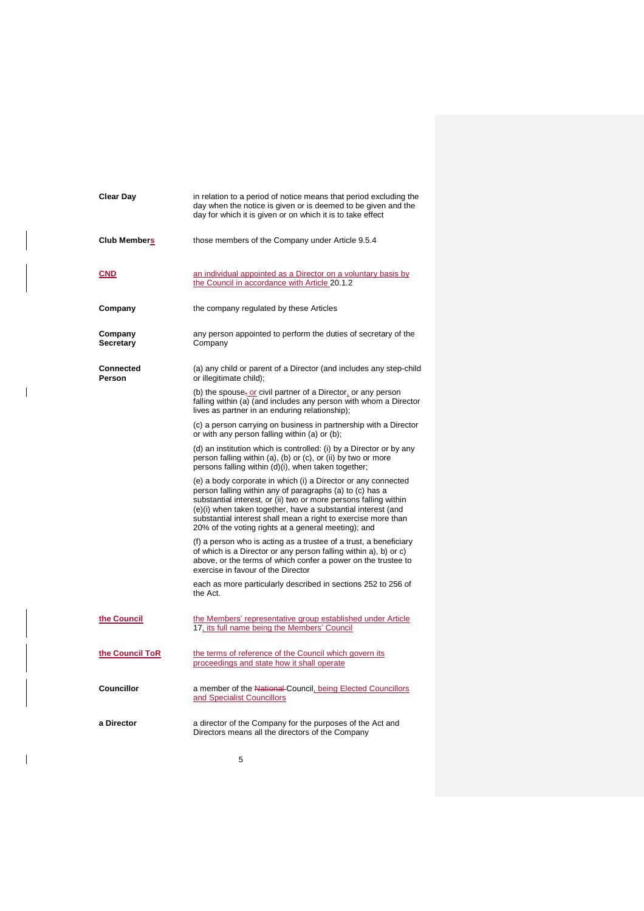| Clear Day                   | in relation to a period of notice means that period excluding the<br>day when the notice is given or is deemed to be given and the<br>day for which it is given or on which it is to take effect                                                                                                                                                                                      |
|-----------------------------|---------------------------------------------------------------------------------------------------------------------------------------------------------------------------------------------------------------------------------------------------------------------------------------------------------------------------------------------------------------------------------------|
| <b>Club Members</b>         | those members of the Company under Article 9.5.4                                                                                                                                                                                                                                                                                                                                      |
| <b>CND</b>                  | an individual appointed as a Director on a voluntary basis by<br>the Council in accordance with Article 20.1.2                                                                                                                                                                                                                                                                        |
| Company                     | the company regulated by these Articles                                                                                                                                                                                                                                                                                                                                               |
| Company<br><b>Secretary</b> | any person appointed to perform the duties of secretary of the<br>Company                                                                                                                                                                                                                                                                                                             |
| <b>Connected</b><br>Person  | (a) any child or parent of a Director (and includes any step-child<br>or illegitimate child);                                                                                                                                                                                                                                                                                         |
|                             | (b) the spouse, or civil partner of a Director, or any person<br>falling within (a) (and includes any person with whom a Director<br>lives as partner in an enduring relationship);                                                                                                                                                                                                   |
|                             | (c) a person carrying on business in partnership with a Director<br>or with any person falling within (a) or (b);                                                                                                                                                                                                                                                                     |
|                             | (d) an institution which is controlled: (i) by a Director or by any<br>person falling within (a), (b) or (c), or (ii) by two or more<br>persons falling within (d)(i), when taken together;                                                                                                                                                                                           |
|                             | (e) a body corporate in which (i) a Director or any connected<br>person falling within any of paragraphs (a) to (c) has a<br>substantial interest, or (ii) two or more persons falling within<br>(e)(i) when taken together, have a substantial interest (and<br>substantial interest shall mean a right to exercise more than<br>20% of the voting rights at a general meeting); and |
|                             | (f) a person who is acting as a trustee of a trust, a beneficiary<br>of which is a Director or any person falling within a), b) or c)<br>above, or the terms of which confer a power on the trustee to<br>exercise in favour of the Director                                                                                                                                          |
|                             | each as more particularly described in sections 252 to 256 of<br>the Act.                                                                                                                                                                                                                                                                                                             |
| the Council                 | the Members' representative group established under Article<br>17, its full name being the Members' Council                                                                                                                                                                                                                                                                           |
| the Council ToR             | the terms of reference of the Council which govern its<br>proceedings and state how it shall operate                                                                                                                                                                                                                                                                                  |
| <b>Councillor</b>           | a member of the National Council, being Elected Councillors<br>and Specialist Councillors                                                                                                                                                                                                                                                                                             |
| a Director                  | a director of the Company for the purposes of the Act and<br>Directors means all the directors of the Company                                                                                                                                                                                                                                                                         |

 $\begin{array}{c} \rule{0pt}{2ex} \rule{0pt}{2ex} \rule{0pt}{2ex} \rule{0pt}{2ex} \rule{0pt}{2ex} \rule{0pt}{2ex} \rule{0pt}{2ex} \rule{0pt}{2ex} \rule{0pt}{2ex} \rule{0pt}{2ex} \rule{0pt}{2ex} \rule{0pt}{2ex} \rule{0pt}{2ex} \rule{0pt}{2ex} \rule{0pt}{2ex} \rule{0pt}{2ex} \rule{0pt}{2ex} \rule{0pt}{2ex} \rule{0pt}{2ex} \rule{0pt}{2ex} \rule{0pt}{2ex} \rule{0pt}{2ex} \rule{0pt}{2ex} \rule{0pt}{$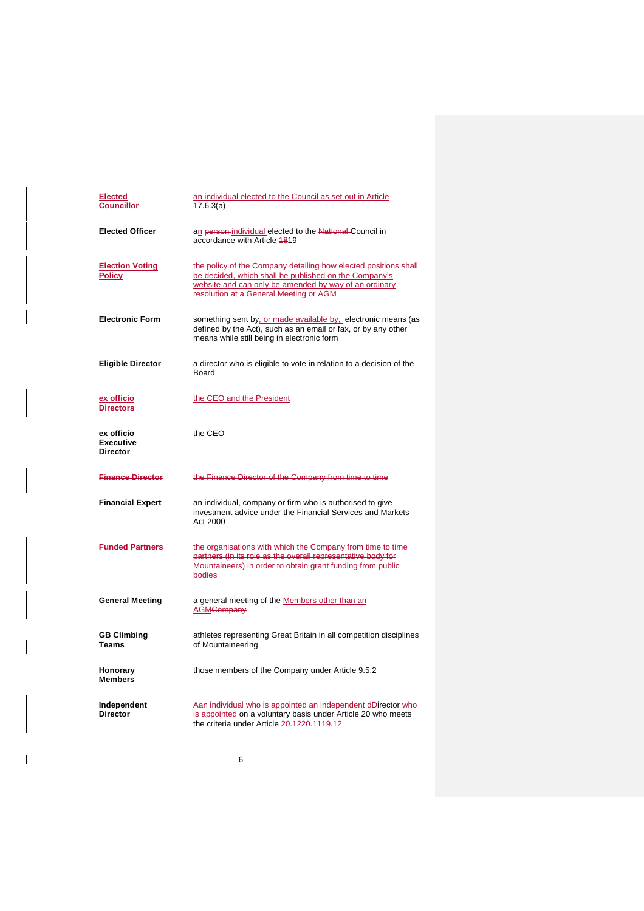| <b>Elected</b><br><b>Councillor</b>        | an individual elected to the Council as set out in Article<br>17.6.3(a)                                                                                                                                                     |
|--------------------------------------------|-----------------------------------------------------------------------------------------------------------------------------------------------------------------------------------------------------------------------------|
| <b>Elected Officer</b>                     | an person-individual elected to the National Council in<br>accordance with Article 4819                                                                                                                                     |
| <b>Election Voting</b><br><b>Policy</b>    | the policy of the Company detailing how elected positions shall<br>be decided, which shall be published on the Company's<br>website and can only be amended by way of an ordinary<br>resolution at a General Meeting or AGM |
| <b>Electronic Form</b>                     | something sent by, or made available by, electronic means (as<br>defined by the Act), such as an email or fax, or by any other<br>means while still being in electronic form                                                |
| <b>Eligible Director</b>                   | a director who is eligible to vote in relation to a decision of the<br>Board                                                                                                                                                |
| ex officio<br><b>Directors</b>             | the CEO and the President                                                                                                                                                                                                   |
| ex officio<br>Executive<br><b>Director</b> | the CEO                                                                                                                                                                                                                     |
| <b>Finance Director</b>                    | the Finance Director of the Company from time to time                                                                                                                                                                       |
| <b>Financial Expert</b>                    | an individual, company or firm who is authorised to give<br>investment advice under the Financial Services and Markets<br>Act 2000                                                                                          |
| <b>Funded Partners</b>                     | the organisations with which the Company from time to time<br>partners (in its role as the overall representative body for<br>Mountaineers) in order to obtain grant funding from public<br>bodies                          |
| <b>General Meeting</b>                     | a general meeting of the Members other than an<br><b>AGM<del>Company</del></b>                                                                                                                                              |
| <b>GB Climbing</b><br>Teams                | athletes representing Great Britain in all competition disciplines<br>of Mountaineering-                                                                                                                                    |
| Honorary<br><b>Members</b>                 | those members of the Company under Article 9.5.2                                                                                                                                                                            |
| Independent<br><b>Director</b>             | Aan individual who is appointed an independent dDirector who<br>is appointed on a voluntary basis under Article 20 who meets<br>the criteria under Article 20.1220.1119.12                                                  |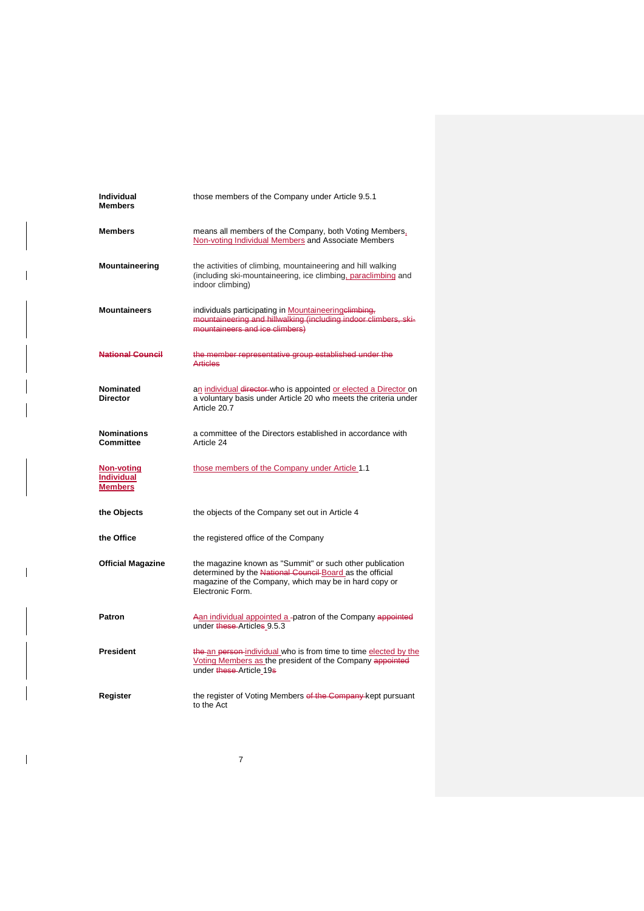| Individual<br>Members                             | those members of the Company under Article 9.5.1                                                                                                                                                  |
|---------------------------------------------------|---------------------------------------------------------------------------------------------------------------------------------------------------------------------------------------------------|
| Members                                           | means all members of the Company, both Voting Members,<br>Non-voting Individual Members and Associate Members                                                                                     |
| Mountaineering                                    | the activities of climbing, mountaineering and hill walking<br>(including ski-mountaineering, ice climbing, paraclimbing and<br>indoor climbing)                                                  |
| Mountaineers                                      | individuals participating in Mountaineeringelimbing,<br>mountaineering and hillwalking (including indoor climbers, ski-<br>mountaineers and ice climbers)                                         |
| <b>National Council</b>                           | the member representative group established under the<br><b>Articles</b>                                                                                                                          |
| Nominated<br>Director                             | an individual director who is appointed or elected a Director on<br>a voluntary basis under Article 20 who meets the criteria under<br>Article 20.7                                               |
| Nominations<br>Committee                          | a committee of the Directors established in accordance with<br>Article 24                                                                                                                         |
| Non-voting<br><b>Individual</b><br><b>Members</b> | those members of the Company under Article 1.1                                                                                                                                                    |
| the Objects                                       | the objects of the Company set out in Article 4                                                                                                                                                   |
| the Office                                        | the registered office of the Company                                                                                                                                                              |
| <b>Official Magazine</b>                          | the magazine known as "Summit" or such other publication<br>determined by the National Council Board as the official<br>magazine of the Company, which may be in hard copy or<br>Electronic Form. |
| Patron                                            | Aan individual appointed a -patron of the Company appointed<br>under these Articles 9.5.3                                                                                                         |
| President                                         | the an person individual who is from time to time elected by the<br>Voting Members as the president of the Company appointed<br>under these Article 19s                                           |
| Register                                          | the register of Voting Members of the Company-kept pursuant<br>to the Act                                                                                                                         |

7

 $\overline{\phantom{a}}$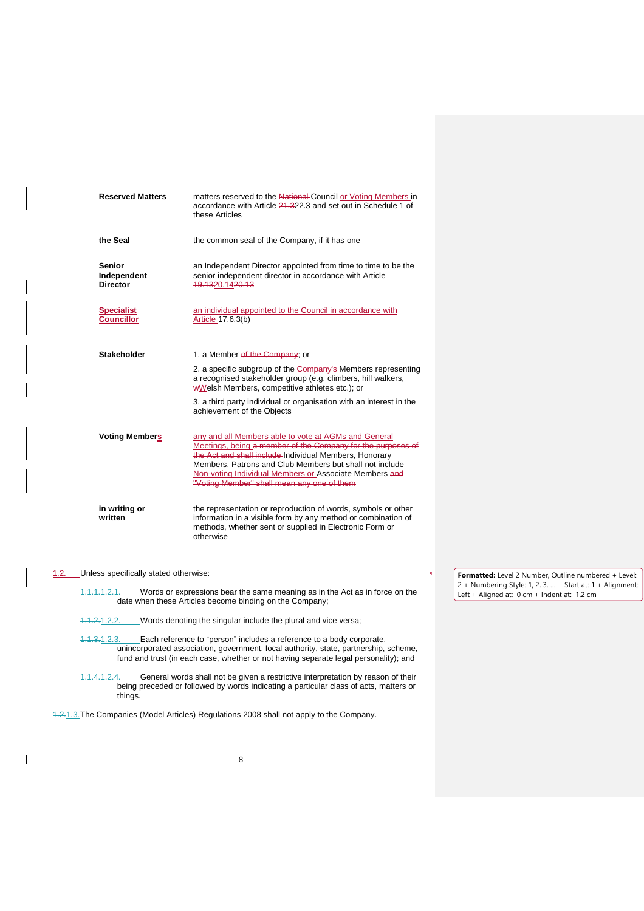| <b>Reserved Matters</b>                         | matters reserved to the National-Council or Voting Members in<br>accordance with Article 21,322.3 and set out in Schedule 1 of<br>these Articles                                                                                                                                                                                                 |
|-------------------------------------------------|--------------------------------------------------------------------------------------------------------------------------------------------------------------------------------------------------------------------------------------------------------------------------------------------------------------------------------------------------|
| the Seal                                        | the common seal of the Company, if it has one                                                                                                                                                                                                                                                                                                    |
| <b>Senior</b><br>Independent<br><b>Director</b> | an Independent Director appointed from time to time to be the<br>senior independent director in accordance with Article<br>19.1320.1420.13                                                                                                                                                                                                       |
| <b>Specialist</b><br><b>Councillor</b>          | an individual appointed to the Council in accordance with<br>Article 17.6.3(b)                                                                                                                                                                                                                                                                   |
| <b>Stakeholder</b>                              | 1. a Member of the Company; or                                                                                                                                                                                                                                                                                                                   |
|                                                 | 2. a specific subgroup of the Company's Members representing<br>a recognised stakeholder group (e.g. climbers, hill walkers,<br>wWelsh Members, competitive athletes etc.); or                                                                                                                                                                   |
|                                                 | 3. a third party individual or organisation with an interest in the<br>achievement of the Objects                                                                                                                                                                                                                                                |
| <b>Voting Members</b>                           | any and all Members able to vote at AGMs and General<br>Meetings, being a member of the Company for the purposes of<br>the Act and shall include Individual Members, Honorary<br>Members, Patrons and Club Members but shall not include<br>Non-voting Individual Members or Associate Members and<br>"Voting Member" shall mean any one of them |
| in writing or<br>written                        | the representation or reproduction of words, symbols or other<br>information in a visible form by any method or combination of<br>methods, whether sent or supplied in Electronic Form or<br>otherwise                                                                                                                                           |

## 1.2. Unless specifically stated otherwise:

 $\overline{\phantom{a}}$ 

1.1.1.1.2.1. Words or expressions bear the same meaning as in the Act as in force on the date when these Articles become binding on the Company;

- 1.1.2.1.2.2. Words denoting the singular include the plural and vice versa;
- 1.1.3.1.2.3. Each reference to "person" includes a reference to a body corporate, unincorporated association, government, local authority, state, partnership, scheme, fund and trust (in each case, whether or not having separate legal personality); and
- 1.1.4.1.2.4. General words shall not be given a restrictive interpretation by reason of their being preceded or followed by words indicating a particular class of acts, matters or things.

1.2.1.3.The Companies (Model Articles) Regulations 2008 shall not apply to the Company.

**Formatted:** Level 2 Number, Outline numbered + Level: 2 + Numbering Style: 1, 2, 3, … + Start at: 1 + Alignment: Left + Aligned at: 0 cm + Indent at: 1.2 cm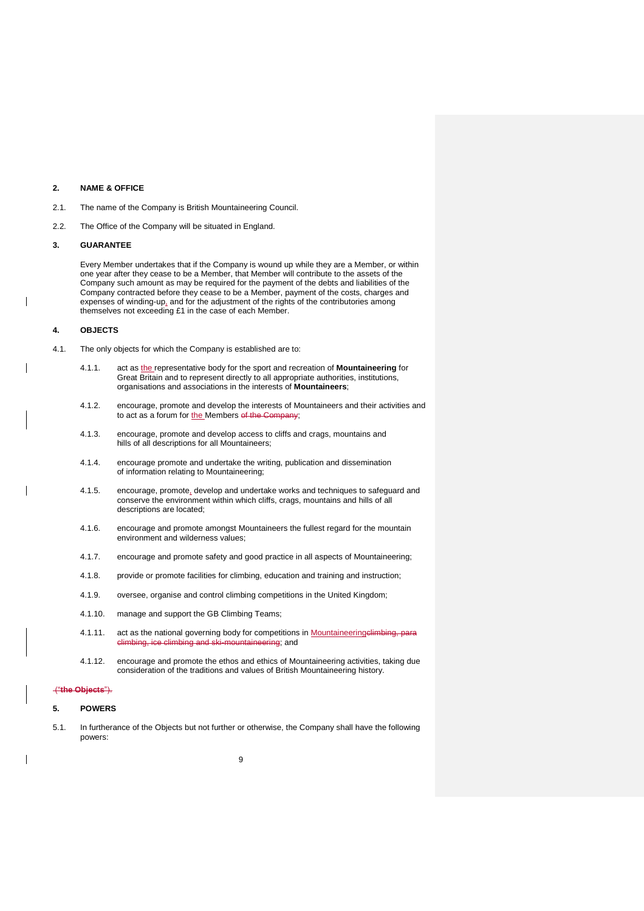### <span id="page-9-0"></span>**2. NAME & OFFICE**

2.1. The name of the Company is British Mountaineering Council.

2.2. The Office of the Company will be situated in England.

## <span id="page-9-1"></span>**3. GUARANTEE**

Every Member undertakes that if the Company is wound up while they are a Member, or within one year after they cease to be a Member, that Member will contribute to the assets of the Company such amount as may be required for the payment of the debts and liabilities of the Company contracted before they cease to be a Member, payment of the costs, charges and expenses of winding-up, and for the adjustment of the rights of the contributories among themselves not exceeding £1 in the case of each Member.

### <span id="page-9-2"></span>**4. OBJECTS**

- 4.1. The only objects for which the Company is established are to:
	- 4.1.1. act as the representative body for the sport and recreation of **Mountaineering** for Great Britain and to represent directly to all appropriate authorities, institutions, organisations and associations in the interests of **Mountaineers**;
	- 4.1.2. encourage, promote and develop the interests of Mountaineers and their activities and to act as a forum for the Members of the Com
	- 4.1.3. encourage, promote and develop access to cliffs and crags, mountains and hills of all descriptions for all Mountaineers;
	- 4.1.4. encourage promote and undertake the writing, publication and dissemination of information relating to Mountaineering;
	- 4.1.5. encourage, promote, develop and undertake works and techniques to safeguard and conserve the environment within which cliffs, crags, mountains and hills of all descriptions are located;
	- 4.1.6. encourage and promote amongst Mountaineers the fullest regard for the mountain environment and wilderness values;
	- 4.1.7. encourage and promote safety and good practice in all aspects of Mountaineering;
	- 4.1.8. provide or promote facilities for climbing, education and training and instruction;
	- 4.1.9. oversee, organise and control climbing competitions in the United Kingdom;
	- 4.1.10. manage and support the GB Climbing Teams;
	- 4.1.11. act as the national governing body for competitions in Mountaineering climbing, para<br>
	dimbing, ice climbing and ski-mountaineering: and climbing, ice climbing and ski-mountaineering; and
	- 4.1.12. encourage and promote the ethos and ethics of Mountaineering activities, taking due consideration of the traditions and values of British Mountaineering history.

## ("**the Objects**").

#### <span id="page-9-3"></span>**5. POWERS**

5.1. In furtherance of the Objects but not further or otherwise, the Company shall have the following powers: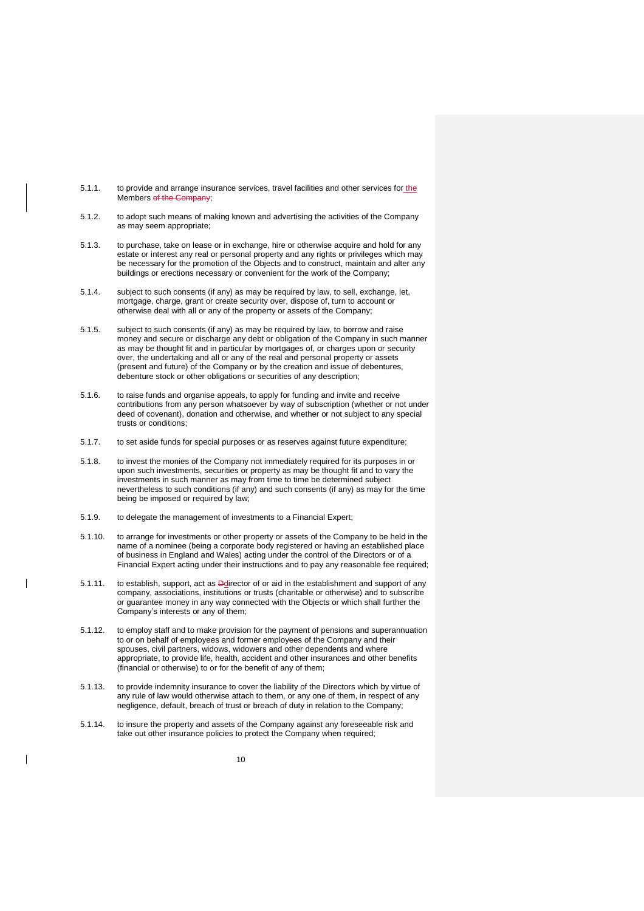- 5.1.1. to provide and arrange insurance services, travel facilities and other services for the Members of the Company
- 5.1.2. to adopt such means of making known and advertising the activities of the Company as may seem appropriate;
- 5.1.3. to purchase, take on lease or in exchange, hire or otherwise acquire and hold for any estate or interest any real or personal property and any rights or privileges which may be necessary for the promotion of the Objects and to construct, maintain and alter any buildings or erections necessary or convenient for the work of the Company;
- 5.1.4. subject to such consents (if any) as may be required by law, to sell, exchange, let, mortgage, charge, grant or create security over, dispose of, turn to account or otherwise deal with all or any of the property or assets of the Company;
- 5.1.5. subject to such consents (if any) as may be required by law, to borrow and raise money and secure or discharge any debt or obligation of the Company in such manner as may be thought fit and in particular by mortgages of, or charges upon or security over, the undertaking and all or any of the real and personal property or assets (present and future) of the Company or by the creation and issue of debentures, debenture stock or other obligations or securities of any description;
- 5.1.6. to raise funds and organise appeals, to apply for funding and invite and receive contributions from any person whatsoever by way of subscription (whether or not under deed of covenant), donation and otherwise, and whether or not subject to any special trusts or conditions;
- 5.1.7. to set aside funds for special purposes or as reserves against future expenditure;
- 5.1.8. to invest the monies of the Company not immediately required for its purposes in or upon such investments, securities or property as may be thought fit and to vary the investments in such manner as may from time to time be determined subject nevertheless to such conditions (if any) and such consents (if any) as may for the time being be imposed or required by law;
- 5.1.9. to delegate the management of investments to a Financial Expert;
- 5.1.10. to arrange for investments or other property or assets of the Company to be held in the name of a nominee (being a corporate body registered or having an established place of business in England and Wales) acting under the control of the Directors or of a Financial Expert acting under their instructions and to pay any reasonable fee required;
- 5.1.11. to establish, support, act as **Do**lirector of or aid in the establishment and support of any company, associations, institutions or trusts (charitable or otherwise) and to subscribe or guarantee money in any way connected with the Objects or which shall further the Company's interests or any of them;
- 5.1.12. to employ staff and to make provision for the payment of pensions and superannuation to or on behalf of employees and former employees of the Company and their spouses, civil partners, widows, widowers and other dependents and where appropriate, to provide life, health, accident and other insurances and other benefits (financial or otherwise) to or for the benefit of any of them;
- 5.1.13. to provide indemnity insurance to cover the liability of the Directors which by virtue of any rule of law would otherwise attach to them, or any one of them, in respect of any negligence, default, breach of trust or breach of duty in relation to the Company;
- 5.1.14. to insure the property and assets of the Company against any foreseeable risk and take out other insurance policies to protect the Company when required;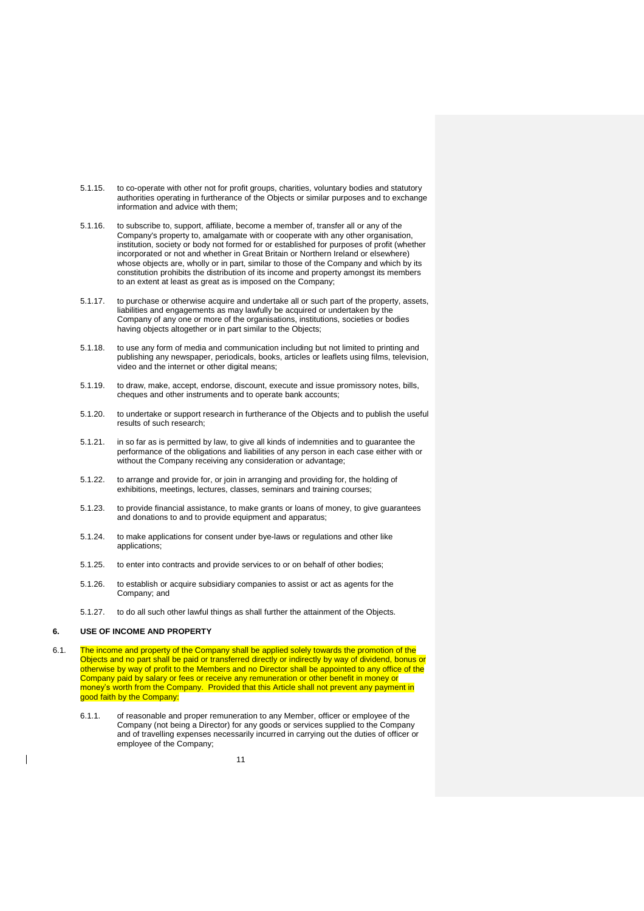- 5.1.15. to co-operate with other not for profit groups, charities, voluntary bodies and statutory authorities operating in furtherance of the Objects or similar purposes and to exchange information and advice with them;
- 5.1.16. to subscribe to, support, affiliate, become a member of, transfer all or any of the Company's property to, amalgamate with or cooperate with any other organisation, institution, society or body not formed for or established for purposes of profit (whether incorporated or not and whether in Great Britain or Northern Ireland or elsewhere) whose objects are, wholly or in part, similar to those of the Company and which by its constitution prohibits the distribution of its income and property amongst its members to an extent at least as great as is imposed on the Company;
- 5.1.17. to purchase or otherwise acquire and undertake all or such part of the property, assets, liabilities and engagements as may lawfully be acquired or undertaken by the Company of any one or more of the organisations, institutions, societies or bodies having objects altogether or in part similar to the Objects;
- 5.1.18. to use any form of media and communication including but not limited to printing and publishing any newspaper, periodicals, books, articles or leaflets using films, television, video and the internet or other digital means;
- 5.1.19. to draw, make, accept, endorse, discount, execute and issue promissory notes, bills, cheques and other instruments and to operate bank accounts;
- 5.1.20. to undertake or support research in furtherance of the Objects and to publish the useful results of such research;
- 5.1.21. in so far as is permitted by law, to give all kinds of indemnities and to guarantee the performance of the obligations and liabilities of any person in each case either with or without the Company receiving any consideration or advantage;
- 5.1.22. to arrange and provide for, or join in arranging and providing for, the holding of exhibitions, meetings, lectures, classes, seminars and training courses;
- 5.1.23. to provide financial assistance, to make grants or loans of money, to give guarantees and donations to and to provide equipment and apparatus;
- 5.1.24. to make applications for consent under bye-laws or regulations and other like applications;
- 5.1.25. to enter into contracts and provide services to or on behalf of other bodies;
- 5.1.26. to establish or acquire subsidiary companies to assist or act as agents for the Company; and
- 5.1.27. to do all such other lawful things as shall further the attainment of the Objects.

## <span id="page-11-0"></span>**6. USE OF INCOME AND PROPERTY**

- <span id="page-11-1"></span>6.1. The income and property of the Company shall be applied solely towards the promotion of the Objects and no part shall be paid or transferred directly or indirectly by way of dividend, bonus or otherwise by way of profit to the Members and no Director shall be appointed to any office of the Company paid by salary or fees or receive any remuneration or other benefit in money or money's worth from the Company. Provided that this Article shall not prevent any payment in good faith by the Company:
	- 6.1.1. of reasonable and proper remuneration to any Member, officer or employee of the Company (not being a Director) for any goods or services supplied to the Company and of travelling expenses necessarily incurred in carrying out the duties of officer or employee of the Company;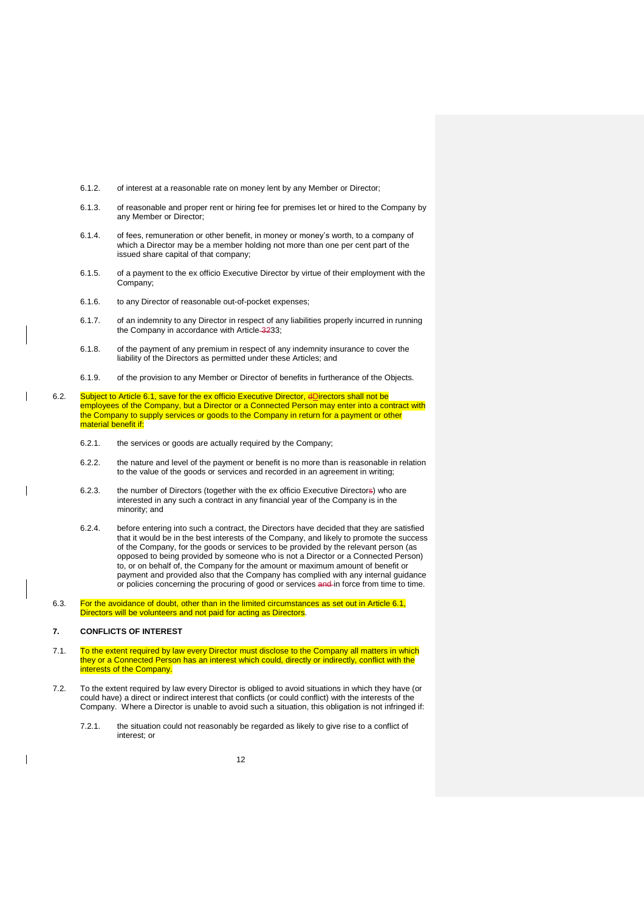- 6.1.2. of interest at a reasonable rate on money lent by any Member or Director;
- 6.1.3. of reasonable and proper rent or hiring fee for premises let or hired to the Company by any Member or Director;
- 6.1.4. of fees, remuneration or other benefit, in money or money's worth, to a company of which a Director may be a member holding not more than one per cent part of the issued share capital of that company;
- 6.1.5. of a payment to the ex officio Executive Director by virtue of their employment with the Company;
- 6.1.6. to any Director of reasonable out-of-pocket expenses;
- 6.1.7. of an indemnity to any Director in respect of any liabilities properly incurred in running the Company in accordance with Article 3[233;](#page-39-0)
- 6.1.8. of the payment of any premium in respect of any indemnity insurance to cover the liability of the Directors as permitted under these Articles; and
- 6.1.9. of the provision to any Member or Director of benefits in furtherance of the Objects.
- 6.2. Subject to Article [6.1,](#page-11-1) save for the ex officio Executive Director, dDirectors shall not be employees of the Company, but a Director or a Connected Person may enter into a contract with the Company to supply services or goods to the Company in return for a payment or other material benefit if:
	- 6.2.1. the services or goods are actually required by the Company;
	- 6.2.2. the nature and level of the payment or benefit is no more than is reasonable in relation to the value of the goods or services and recorded in an agreement in writing;
	- 6.2.3. the number of Directors (together with the ex officio Executive Directors) who are interested in any such a contract in any financial year of the Company is in the minority; and
	- 6.2.4. before entering into such a contract, the Directors have decided that they are satisfied that it would be in the best interests of the Company, and likely to promote the success of the Company, for the goods or services to be provided by the relevant person (as opposed to being provided by someone who is not a Director or a Connected Person) to, or on behalf of, the Company for the amount or maximum amount of benefit or payment and provided also that the Company has complied with any internal guidance or policies concerning the procuring of good or services and in force from time to time.
- 6.3. For the avoidance of doubt, other than in the limited circumstances as set out in Article [6.1,](#page-11-1) Directors will be volunteers and not paid for acting as Directors.

## <span id="page-12-0"></span>**7. CONFLICTS OF INTEREST**

- 7.1. To the extent required by law every Director must disclose to the Company all matters in which they or a Connected Person has an interest which could, directly or indirectly, conflict with the interests of the Company.
- 7.2. To the extent required by law every Director is obliged to avoid situations in which they have (or could have) a direct or indirect interest that conflicts (or could conflict) with the interests of the Company. Where a Director is unable to avoid such a situation, this obligation is not infringed if:
	- 7.2.1. the situation could not reasonably be regarded as likely to give rise to a conflict of interest; or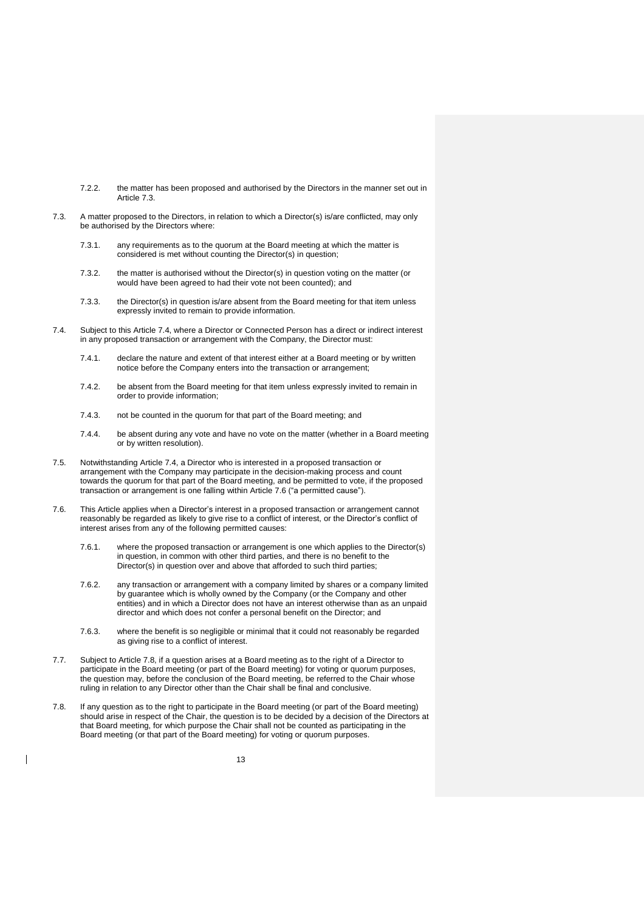- 7.2.2. the matter has been proposed and authorised by the Directors in the manner set out in Article [7.3.](#page-13-0)
- <span id="page-13-0"></span>7.3. A matter proposed to the Directors, in relation to which a Director(s) is/are conflicted, may only be authorised by the Directors where:
	- 7.3.1. any requirements as to the quorum at the Board meeting at which the matter is considered is met without counting the Director(s) in question;
	- 7.3.2. the matter is authorised without the Director(s) in question voting on the matter (or would have been agreed to had their vote not been counted); and
	- 7.3.3. the Director(s) in question is/are absent from the Board meeting for that item unless expressly invited to remain to provide information.
- <span id="page-13-1"></span>7.4. Subject to this Article [7.4,](#page-13-1) where a Director or Connected Person has a direct or indirect interest in any proposed transaction or arrangement with the Company, the Director must:
	- 7.4.1. declare the nature and extent of that interest either at a Board meeting or by written notice before the Company enters into the transaction or arrangement;
	- 7.4.2. be absent from the Board meeting for that item unless expressly invited to remain in order to provide information;
	- 7.4.3. not be counted in the quorum for that part of the Board meeting; and
	- 7.4.4. be absent during any vote and have no vote on the matter (whether in a Board meeting or by written resolution).
- 7.5. Notwithstanding Article [7.4,](#page-13-1) a Director who is interested in a proposed transaction or arrangement with the Company may participate in the decision-making process and count towards the quorum for that part of the Board meeting, and be permitted to vote, if the proposed transaction or arrangement is one falling within Article [7.6](#page-13-2) ("a permitted cause").
- <span id="page-13-2"></span>7.6. This Article applies when a Director's interest in a proposed transaction or arrangement cannot reasonably be regarded as likely to give rise to a conflict of interest, or the Director's conflict of interest arises from any of the following permitted causes:
	- 7.6.1. where the proposed transaction or arrangement is one which applies to the Director(s) in question, in common with other third parties, and there is no benefit to the Director(s) in question over and above that afforded to such third parties;
	- 7.6.2. any transaction or arrangement with a company limited by shares or a company limited by guarantee which is wholly owned by the Company (or the Company and other entities) and in which a Director does not have an interest otherwise than as an unpaid director and which does not confer a personal benefit on the Director; and
	- 7.6.3. where the benefit is so negligible or minimal that it could not reasonably be regarded as giving rise to a conflict of interest.
- 7.7. Subject to Article [7.8,](#page-13-3) if a question arises at a Board meeting as to the right of a Director to participate in the Board meeting (or part of the Board meeting) for voting or quorum purposes, the question may, before the conclusion of the Board meeting, be referred to the Chair whose ruling in relation to any Director other than the Chair shall be final and conclusive.
- <span id="page-13-3"></span>7.8. If any question as to the right to participate in the Board meeting (or part of the Board meeting) should arise in respect of the Chair, the question is to be decided by a decision of the Directors at that Board meeting, for which purpose the Chair shall not be counted as participating in the Board meeting (or that part of the Board meeting) for voting or quorum purposes.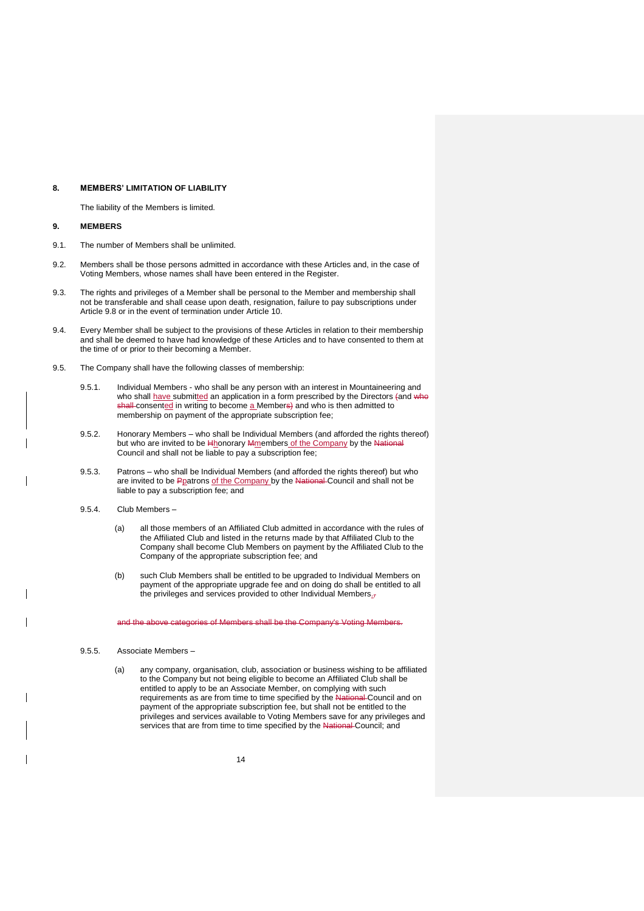### <span id="page-14-0"></span>**8. MEMBERS' LIMITATION OF LIABILITY**

The liability of the Members is limited.

#### <span id="page-14-1"></span>**9. MEMBERS**

- 9.1. The number of Members shall be unlimited.
- 9.2. Members shall be those persons admitted in accordance with these Articles and, in the case of Voting Members, whose names shall have been entered in the Register.
- 9.3. The rights and privileges of a Member shall be personal to the Member and membership shall not be transferable and shall cease upon death, resignation, failure to pay subscriptions under Article [9.8](#page-16-1) or in the event of termination under Article [10.](#page-17-0)
- 9.4. Every Member shall be subject to the provisions of these Articles in relation to their membership and shall be deemed to have had knowledge of these Articles and to have consented to them at the time of or prior to their becoming a Member.
- <span id="page-14-6"></span><span id="page-14-5"></span><span id="page-14-4"></span>9.5. The Company shall have the following classes of membership:
	- 9.5.1. Individual Members who shall be any person with an interest in Mountaineering and who shall have submitted an application in a form prescribed by the Directors (and who shall consented in writing to become a Members) and who is then admitted to membership on payment of the appropriate subscription fee;
	- 9.5.2. Honorary Members who shall be Individual Members (and afforded the rights thereof) but who are invited to be Hhonorary Mmembers of the Company by the National Council and shall not be liable to pay a subscription fee;
	- 9.5.3. Patrons who shall be Individual Members (and afforded the rights thereof) but who are invited to be Ppatrons of the Company by the National Council and shall not be liable to pay a subscription fee; and
	- 9.5.4. Club Members
		- (a) all those members of an Affiliated Club admitted in accordance with the rules of the Affiliated Club and listed in the returns made by that Affiliated Club to the Company shall become Club Members on payment by the Affiliated Club to the Company of the appropriate subscription fee; and
		- (b) such Club Members shall be entitled to be upgraded to Individual Members on payment of the appropriate upgrade fee and on doing do shall be entitled to all the privileges and services provided to other Individual Members.

<span id="page-14-3"></span>and the above categories of Members shall be the Company's Voting Members.

## <span id="page-14-2"></span>9.5.5. Associate Members –

(a) any company, organisation, club, association or business wishing to be affiliated to the Company but not being eligible to become an Affiliated Club shall be entitled to apply to be an Associate Member, on complying with such requirements as are from time to time specified by the National Council and on payment of the appropriate subscription fee, but shall not be entitled to the privileges and services available to Voting Members save for any privileges and services that are from time to time specified by the National Council; and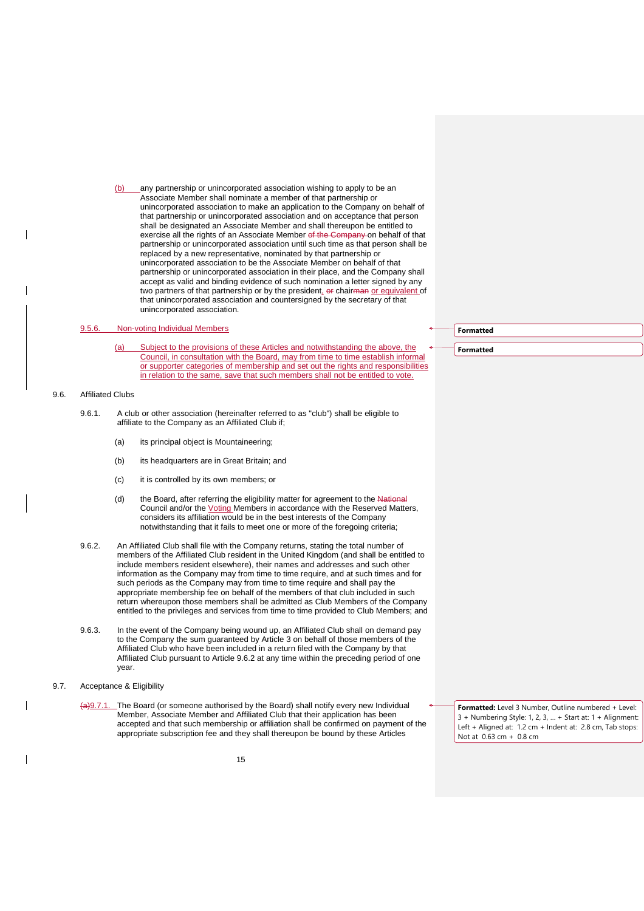(b) any partnership or unincorporated association wishing to apply to be an Associate Member shall nominate a member of that partnership or unincorporated association to make an application to the Company on behalf of that partnership or unincorporated association and on acceptance that person shall be designated an Associate Member and shall thereupon be entitled to exercise all the rights of an Associate Member of the Company on behalf of that partnership or unincorporated association until such time as that person shall be replaced by a new representative, nominated by that partnership or unincorporated association to be the Associate Member on behalf of that partnership or unincorporated association in their place, and the Company shall accept as valid and binding evidence of such nomination a letter signed by any two partners of that partnership or by the president, or chairman or equivalent of that unincorporated association and countersigned by the secretary of that unincorporated association.

## 9.5.6. Non-voting Individual Members

(a) Subject to the provisions of these Articles and notwithstanding the above, the Council, in consultation with the Board, may from time to time establish informal or supporter categories of membership and set out the rights and responsibilities in relation to the same, save that such members shall not be entitled to vote.

### <span id="page-15-0"></span>9.6. Affiliated Clubs

- 9.6.1. A club or other association (hereinafter referred to as "club") shall be eligible to affiliate to the Company as an Affiliated Club if;
	- (a) its principal object is Mountaineering;
	- (b) its headquarters are in Great Britain; and
	- (c) it is controlled by its own members; or
	- (d) the Board, after referring the eligibility matter for agreement to the National Council and/or the Voting Members in accordance with the Reserved Matters, considers its affiliation would be in the best interests of the Company notwithstanding that it fails to meet one or more of the foregoing criteria;
- <span id="page-15-1"></span>9.6.2. An Affiliated Club shall file with the Company returns, stating the total number of members of the Affiliated Club resident in the United Kingdom (and shall be entitled to include members resident elsewhere), their names and addresses and such other information as the Company may from time to time require, and at such times and for such periods as the Company may from time to time require and shall pay the appropriate membership fee on behalf of the members of that club included in such return whereupon those members shall be admitted as Club Members of the Company entitled to the privileges and services from time to time provided to Club Members; and
- 9.6.3. In the event of the Company being wound up, an Affiliated Club shall on demand pay to the Company the sum guaranteed by Article [3](#page-9-1) on behalf of those members of the Affiliated Club who have been included in a return filed with the Company by that Affiliated Club pursuant to Article [9.6.2](#page-15-1) at any time within the preceding period of one year.
- 9.7. Acceptance & Eligibility
	- (a)9.7.1. The Board (or someone authorised by the Board) shall notify every new Individual Member, Associate Member and Affiliated Club that their application has been accepted and that such membership or affiliation shall be confirmed on payment of the appropriate subscription fee and they shall thereupon be bound by these Articles

#### **Formatted**

**Formatted**

**Formatted:** Level 3 Number, Outline numbered + Level: 3 + Numbering Style: 1, 2, 3, … + Start at: 1 + Alignment: Left + Aligned at: 1.2 cm + Indent at: 2.8 cm, Tab stops: Not at 0.63 cm + 0.8 cm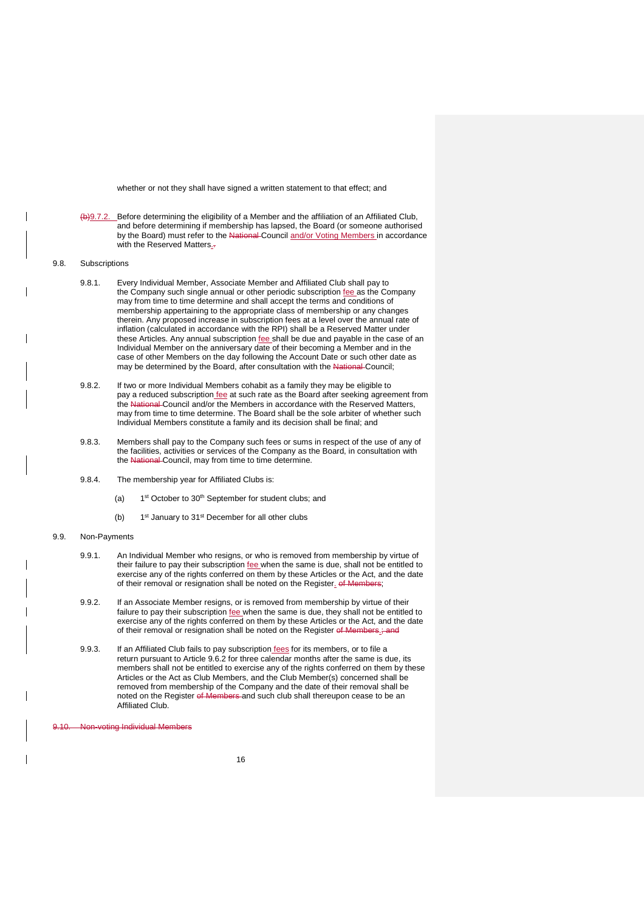whether or not they shall have signed a written statement to that effect; and

- (b)9.7.2. Before determining the eligibility of a Member and the affiliation of an Affiliated Club, and before determining if membership has lapsed, the Board (or someone authorised by the Board) must refer to the National Council and/or Voting Members in accordance with the Reserved Matters..
- <span id="page-16-1"></span>9.8. Subscriptions
	- 9.8.1. Every Individual Member, Associate Member and Affiliated Club shall pay to the Company such single annual or other periodic subscription fee as the Company may from time to time determine and shall accept the terms and conditions of membership appertaining to the appropriate class of membership or any changes therein. Any proposed increase in subscription fees at a level over the annual rate of inflation (calculated in accordance with the RPI) shall be a Reserved Matter under these Articles. Any annual subscription fee shall be due and payable in the case of an Individual Member on the anniversary date of their becoming a Member and in the case of other Members on the day following the Account Date or such other date as may be determined by the Board, after consultation with the National Council;
	- 9.8.2. If two or more Individual Members cohabit as a family they may be eligible to pay a reduced subscription fee at such rate as the Board after seeking agreement from the National Council and/or the Members in accordance with the Reserved Matters, may from time to time determine. The Board shall be the sole arbiter of whether such Individual Members constitute a family and its decision shall be final; and
	- 9.8.3. Members shall pay to the Company such fees or sums in respect of the use of any of the facilities, activities or services of the Company as the Board, in consultation with the National Council, may from time to time determine.
	- 9.8.4. The membership year for Affiliated Clubs is:
		- $(a)$ st October to 30<sup>th</sup> September for student clubs; and
		- $(b)$ 1<sup>st</sup> January to 31<sup>st</sup> December for all other clubs
- 9.9. Non-Payments
	- 9.9.1. An Individual Member who resigns, or who is removed from membership by virtue of their failure to pay their subscription fee when the same is due, shall not be entitled to exercise any of the rights conferred on them by these Articles or the Act, and the date of their removal or resignation shall be noted on the Register. of Memb
	- 9.9.2. If an Associate Member resigns, or is removed from membership by virtue of their failure to pay their subscription *fee* when the same is due, they shall not be entitled to exercise any of the rights conferred on them by these Articles or the Act, and the date of their removal or resignation shall be noted on the Register of M
	- 9.9.3. If an Affiliated Club fails to pay subscription fees for its members, or to file a return pursuant to Article [9.6.2](#page-15-1) for three calendar months after the same is due, its members shall not be entitled to exercise any of the rights conferred on them by these Articles or the Act as Club Members, and the Club Member(s) concerned shall be removed from membership of the Company and the date of their removal shall be noted on the Register of Members and such club shall thereupon cease to be an Affiliated Club.

<span id="page-16-0"></span>**Non-voting Individual Members**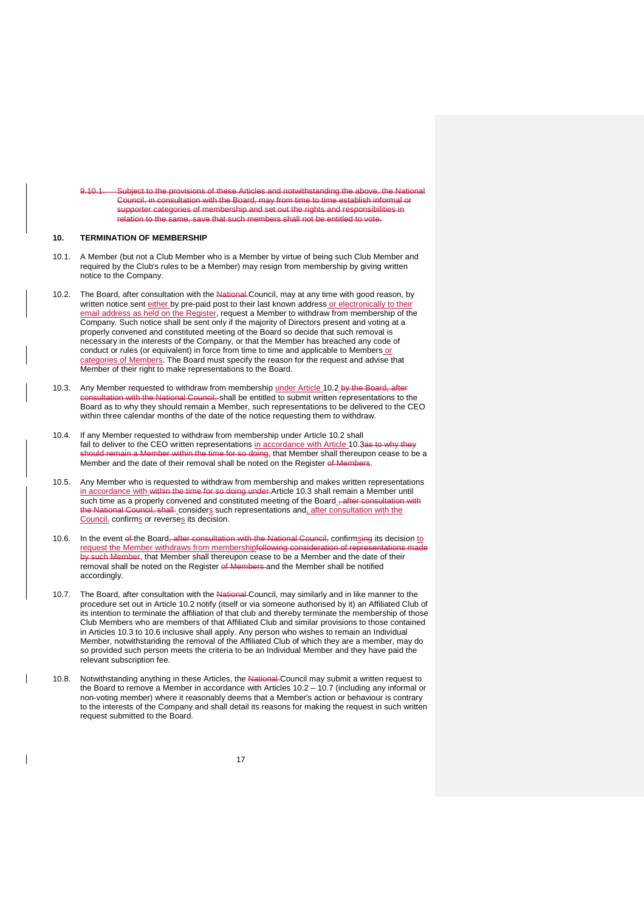9.10.1. Subject to the provisions of these Articles and notwithstanding the above, the National Council, in consultation with the Board, may from time to time establish informal or supporter categories of membership and set out the rights and responsibilities in<br>relation to the same, save that such members shall not be entitled to vote. same, save that such members shall not be entitled to vote.

#### <span id="page-17-0"></span>**10. TERMINATION OF MEMBERSHIP**

- 10.1. A Member (but not a Club Member who is a Member by virtue of being such Club Member and required by the Club's rules to be a Member) may resign from membership by giving written notice to the Company.
- <span id="page-17-1"></span>10.2. The Board, after consultation with the National Council, may at any time with good reason, by written notice sent either by pre-paid post to their last known address or electronically to their email address as held on the Register, request a Member to withdraw from membership of the Company. Such notice shall be sent only if the majority of Directors present and voting at a properly convened and constituted meeting of the Board so decide that such removal is necessary in the interests of the Company, or that the Member has breached any code of conduct or rules (or equivalent) in force from time to time and applicable to Members or categories of Members. The Board must specify the reason for the request and advise that Member of their right to make representations to the Board.
- <span id="page-17-2"></span>10.3. Any Member requested to withdraw from membership under Article [10.2](#page-17-1) by the Board, after sultation with the National Council, shall be entitled to submit written representations to the Board as to why they should remain a Member, such representations to be delivered to the CEO within three calendar months of the date of the notice requesting them to withdraw.
- 10.4. If any Member requested to withdraw from membership under Article [10.2](#page-17-1) shall fail to deliver to the CEO written representations in accordance with Article [10.3a](#page-17-2)s to why they should remain a Member within the time for so doing, that Member shall thereupon cease to be a Member and the date of their removal shall be noted on the Register of  $\mathbb N$
- 10.5. Any Member who is requested to withdraw from membership and makes written representations in accordance with within the time for so doing under Article [10.3](#page-17-2) shall remain a Member until such time as a properly convened and constituted meeting of the Board \_- after consultation with the National Council, shall considers such representations and, after consultation with the Council. confirms or reverses its decision.
- <span id="page-17-3"></span>10.6. In the event of the Board, after consultation with the National Council, confirmsing its decision to request the Member withdraws from membershipfollowing consideration of rep by such Member, that Member shall thereupon cease to be a Member and the date of their removal shall be noted on the Register of Members and the Member shall be notified accordingly.
- <span id="page-17-4"></span>10.7. The Board, after consultation with the National-Council, may similarly and in like manner to the procedure set out in Article [10.2](#page-17-1) notify (itself or via someone authorised by it) an Affiliated Club of its intention to terminate the affiliation of that club and thereby terminate the membership of those Club Members who are members of that Affiliated Club and similar provisions to those contained in Articles [10.3](#page-17-2) to [10.6](#page-17-3) inclusive shall apply. Any person who wishes to remain an Individual Member, notwithstanding the removal of the Affiliated Club of which they are a member, may do so provided such person meets the criteria to be an Individual Member and they have paid the relevant subscription fee.
- 10.8. Notwithstanding anything in these Articles, the National Council may submit a written request to the Board to remove a Member in accordance with Articles [10.2](#page-17-1) – [10.7](#page-17-4) (including any informal or non-voting member) where it reasonably deems that a Member's action or behaviour is contrary to the interests of the Company and shall detail its reasons for making the request in such written request submitted to the Board.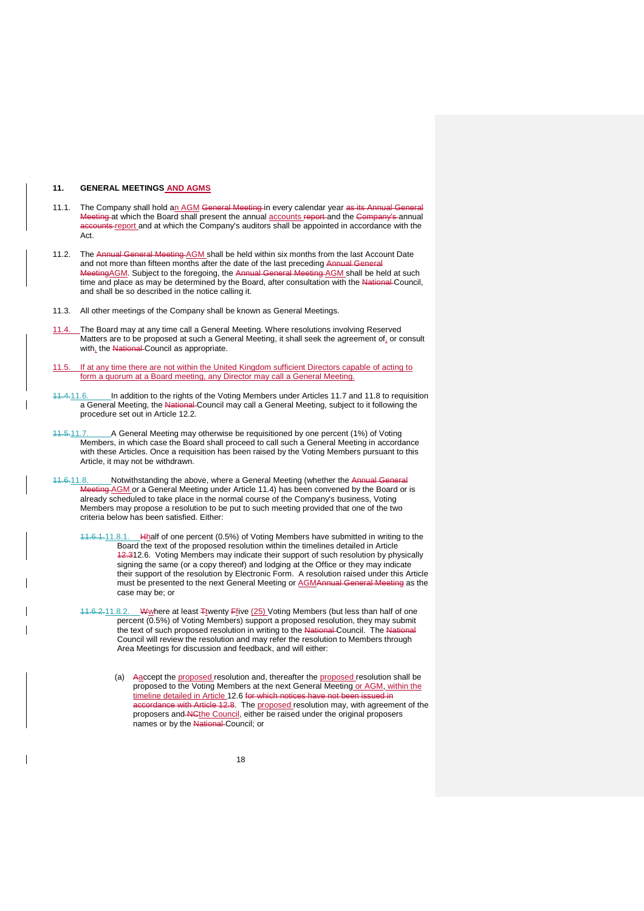#### <span id="page-18-0"></span>**11. GENERAL MEETINGS AND AGMS**

- <span id="page-18-1"></span>11.1. The Company shall hold an AGM General Meeting in every calendar year as its Annual General Meeting at which the Board shall present the annual accounts report and the Company's annual accounts report and at which the Company's auditors shall be appointed in accordance with the Act.
- <span id="page-18-2"></span>11.2. The Annual General Meeting AGM shall be held within six months from the last Account Date and not more than fifteen months after the date of the last preceding Annual General MeetingAGM. Subject to the foregoing, the Annual General Meeting AGM shall be held at such time and place as may be determined by the Board, after consultation with the National Council, and shall be so described in the notice calling it.
- 11.3. All other meetings of the Company shall be known as General Meetings.
- <span id="page-18-5"></span>11.4. The Board may at any time call a General Meeting. Where resolutions involving Reserved Matters are to be proposed at such a General Meeting, it shall seek the agreement of, or consult with, the National Council as appropriate.
- 11.5. If at any time there are not within the United Kingdom sufficient Directors capable of acting to form a quorum at a Board meeting, any Director may call a General Meeting.
- <span id="page-18-8"></span>11.4.11.6. In addition to the rights of the Voting Members under Articles [11.7](#page-18-3) and [11.8](#page-18-4) to requisition a General Meeting, the National-Council may call a General Meeting, subject to it following the procedure set out in Article [12.2.](#page-19-1)
- <span id="page-18-3"></span>11.5.11.7. A General Meeting may otherwise be requisitioned by one percent (1%) of Voting Members, in which case the Board shall proceed to call such a General Meeting in accordance with these Articles. Once a requisition has been raised by the Voting Members pursuant to this Article, it may not be withdrawn.
- <span id="page-18-7"></span><span id="page-18-6"></span><span id="page-18-4"></span>11.6.11.8. Notwithstanding the above, where a General Meeting (whether the Annual General Meeting AGM or a General Meeting under Article [11.4\)](#page-18-5) has been convened by the Board or is already scheduled to take place in the normal course of the Company's business, Voting Members may propose a resolution to be put to such meeting provided that one of the two criteria below has been satisfied. Either:
	- 11.6.1.11.8.1. Hhalf of one percent (0.5%) of Voting Members have submitted in writing to the Board the text of the proposed resolution within the timelines detailed in Article 12.[312.6.](#page-20-0) Voting Members may indicate their support of such resolution by physically signing the same (or a copy thereof) and lodging at the Office or they may indicate their support of the resolution by Electronic Form. A resolution raised under this Article<br>must be presented to the next General Meeting or AGMAnnual General Meeting as the must be presented to the next General Meeting or **AGMAnnual Ger** case may be; or
	- 11.6.2.11.8.2. Wwhere at least Ttwenty Ffive (25) Voting Members (but less than half of one percent (0.5%) of Voting Members) support a proposed resolution, they may submit the text of such proposed resolution in writing to the National Council. The National Council will review the resolution and may refer the resolution to Members through Area Meetings for discussion and feedback, and will either:
		- (a) Aaccept the proposed resolution and, thereafter the proposed resolution shall be proposed to the Voting Members at the next General Meeting or AGM, within the timeline detailed in Article [12.6](#page-20-0) for which notices have not be accordance with Article [12.8.](#page-21-1) The proposed resolution may, with agreement of the proposers and NCthe Council, either be raised under the original proposers names or by the National Council; or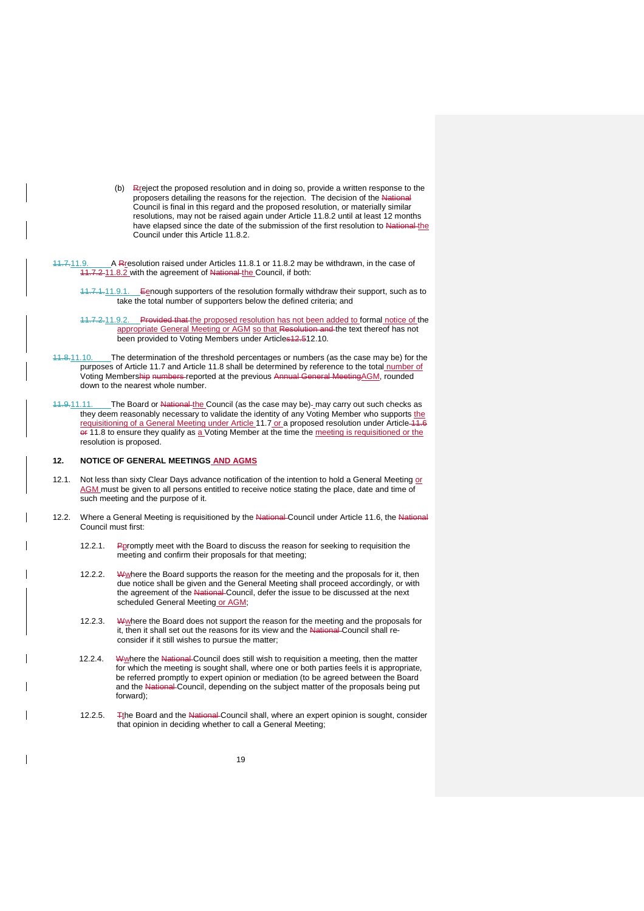- (b) Rreject the proposed resolution and in doing so, provide a written response to the proposers detailing the reasons for the rejection. The decision of the National Council is final in this regard and the proposed resolution, or materially similar resolutions, may not be raised again under Article [11.8.2](#page-18-6) until at least 12 months have elapsed since the date of the submission of the first resolution to National the Council under this Article [11.8.2.](#page-18-6)
- 11.7.11.9. A Rresolution raised under Articles [11.8.1](#page-18-7) or [11.8.2](#page-18-6) may be withdrawn, in the case of 11.7.2 [11.8.2](#page-18-6) with the agreement of National the Council, if both:
	- 11.7.1.11.9.1. Eenough supporters of the resolution formally withdraw their support, such as to take the total number of supporters below the defined criteria; and
	- 11.7.2.11.9.2. Provided that the proposed resolution has not been added to formal notice of the appropriate General Meeting or AGM so that Resolution and the text thereof has not been provided to Voting Members under Article[s12.5](#page-20-1)[12.10.](#page-21-1)
- 11.8.11.10. The determination of the threshold percentages or numbers (as the case may be) for the purposes of Article [11.7](#page-18-3) and Article [11.8](#page-18-4) shall be determined by reference to the total number of Voting Membership numbers reported at the previous Annual General MeetingAGM, rounded down to the nearest whole number.
- 11.9.11.11. The Board or National the Council (as the case may be)- may carry out such checks as they deem reasonably necessary to validate the identity of any Voting Member who supports the requisitioning of a General Meeting under Article [11.7](#page-18-3) or a proposed resolution under Article 11.6 or [11.8](#page-18-4) to ensure they qualify as a Voting Member at the time the meeting is requisitioned or the resolution is proposed.

### <span id="page-19-0"></span>**12. NOTICE OF GENERAL MEETINGS AND AGMS**

- 12.1. Not less than sixty Clear Days advance notification of the intention to hold a General Meeting or AGM must be given to all persons entitled to receive notice stating the place, date and time of such meeting and the purpose of it.
- <span id="page-19-1"></span>12.2. Where a General Meeting is requisitioned by the National-Council under Article [11.6,](#page-18-8) the National Council must first:
	- 12.2.1. Ppromptly meet with the Board to discuss the reason for seeking to requisition the meeting and confirm their proposals for that meeting;
	- 12.2.2. Where the Board supports the reason for the meeting and the proposals for it, then due notice shall be given and the General Meeting shall proceed accordingly, or with the agreement of the National Council, defer the issue to be discussed at the next scheduled General Meeting or AGM;
	- 12.2.3. Where the Board does not support the reason for the meeting and the proposals for it, then it shall set out the reasons for its view and the National Council shall reconsider if it still wishes to pursue the matter;
	- 12.2.4. Where the National Council does still wish to requisition a meeting, then the matter for which the meeting is sought shall, where one or both parties feels it is appropriate, be referred promptly to expert opinion or mediation (to be agreed between the Board and the National-Council, depending on the subject matter of the proposals being put al Council, depending on the subject matter of the proposals being put forward);
	- 12.2.5. The Board and the National Council shall, where an expert opinion is sought, consider that opinion in deciding whether to call a General Meeting;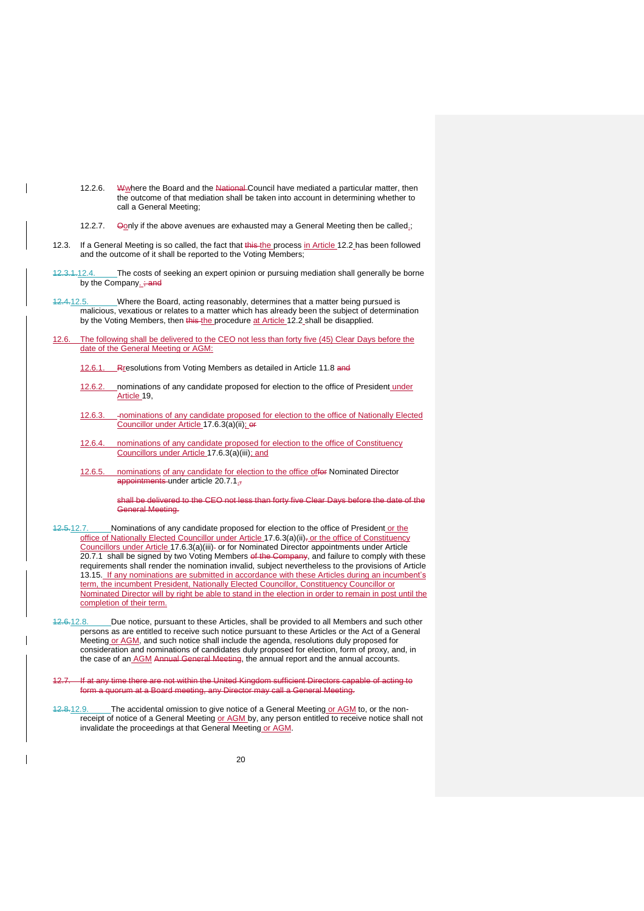- 12.2.6. Whymere the Board and the National Council have mediated a particular matter, then the outcome of that mediation shall be taken into account in determining whether to call a General Meeting;
- 12.2.7. Oonly if the above avenues are exhausted may a General Meeting then be called.;
- 12.3. If a General Meeting is so called, the fact that this the process in Article [12.2](#page-19-1) has been followed and the outcome of it shall be reported to the Voting Members;
- 12.3.1.12.4. The costs of seeking an expert opinion or pursuing mediation shall generally be borne by the Company. ; and
- 12.4.12.5. Where the Board, acting reasonably, determines that a matter being pursued is malicious, vexatious or relates to a matter which has already been the subject of determination by the Voting Members, then this the procedure at Article [12.2](#page-19-1) shall be disapplied.
- <span id="page-20-0"></span>12.6. The following shall be delivered to the CEO not less than forty five (45) Clear Days before the date of the General Meeting or AGM:
	- 12.6.1. Rresolutions from Voting Members as detailed in Article [11.8](#page-18-4) and
	- 12.6.2. nominations of any candidate proposed for election to the office of President under Article [19,](#page-27-0)
	- 12.6.3. nominations of any candidate proposed for election to the office of Nationally Elected Councillor under Article [17.6.3\(a\)\(ii\);](#page-25-1) or
	- 12.6.4. nominations of any candidate proposed for election to the office of Constituency Councillors under Article [17.6.3\(a\)\(iii\);](#page-25-2) and
	- 12.6.5. nominations of any candidate for election to the office offer Nominated Director appointments under article [20.7.1.](#page-28-1)

shall be delivered to the CEO not less than forty five Clear Days before the date of the General Meeting.

- <span id="page-20-2"></span>12.5.12.7. Nominations of any candidate proposed for election to the office of President or the office of Nationally Elected Councillor under Article 17.6.3(a)(ii)<sub>j</sub> or the office of Constituency Councillors under Article [17.6.3\(a\)\(iii\)](#page-25-2) or for Nominated Director appointments under Article [20.7.1](#page-28-1) shall be signed by two Voting Members of the Company, and failure to comply with these requirements shall render the nomination invalid, subject nevertheless to the provisions of Article [13.15.](#page-22-2) If any nominations are submitted in accordance with these Articles during an incumbent's term, the incumbent President, Nationally Elected Councillor, Constituency Councillor or Nominated Director will by right be able to stand in the election in order to remain in post until the completion of their term.
- <span id="page-20-1"></span>12.6.12.8. Due notice, pursuant to these Articles, shall be provided to all Members and such other persons as are entitled to receive such notice pursuant to these Articles or the Act of a General Meeting or AGM, and such notice shall include the agenda, resolutions duly proposed for consideration and nominations of candidates duly proposed for election, form of proxy, and, in the case of an AGM Annual General Meeting, the annual report and the annual accounts.
- 12.7. If at any time there are not within the United Kingdom sufficient Directors capable of acting to form a quorum at a Board meeting, any Director may call a General Meeting.
- 12.8.12.9. The accidental omission to give notice of a General Meeting or AGM to, or the nonreceipt of notice of a General Meeting or AGM by, any person entitled to receive notice shall not invalidate the proceedings at that General Meeting or AGM.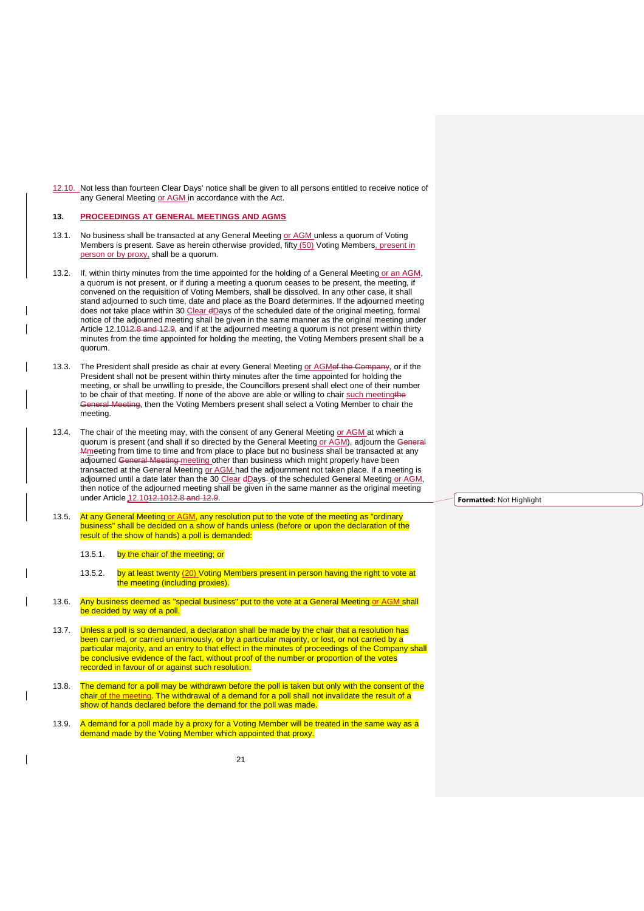<span id="page-21-1"></span>12.10. Not less than fourteen Clear Days' notice shall be given to all persons entitled to receive notice of any General Meeting or AGM in accordance with the Act.

#### <span id="page-21-0"></span>**13. PROCEEDINGS AT GENERAL MEETINGS AND AGMS**

- 13.1. No business shall be transacted at any General Meeting or AGM unless a quorum of Voting Members is present. Save as herein otherwise provided, fifty (50) Voting Members, present in person or by proxy, shall be a quorum.
- 13.2. If, within thirty minutes from the time appointed for the holding of a General Meeting or an AGM, a quorum is not present, or if during a meeting a quorum ceases to be present, the meeting, if convened on the requisition of Voting Members, shall be dissolved. In any other case, it shall stand adjourned to such time, date and place as the Board determines. If the adjourned meeting does not take place within 30 Clear dDays of the scheduled date of the original meeting, formal notice of the adjourned meeting shall be given in the same manner as the original meeting under Article [12.101](#page-21-1)2.8 and 12.9, and if at the adjourned meeting a quorum is not present within thirty minutes from the time appointed for holding the meeting, the Voting Members present shall be a quorum.
- 13.3. The President shall preside as chair at every General Meeting or AGMof the Company, or if the President shall not be present within thirty minutes after the time appointed for holding the meeting, or shall be unwilling to preside, the Councillors present shall elect one of their number to be chair of that meeting. If none of the above are able or willing to chair such meetingthe General Meeting, then the Voting Members present shall select a Voting Member to chair the meeting.
- 13.4. The chair of the meeting may, with the consent of any General Meeting or AGM at which a quorum is present (and shall if so directed by the General Meeting or AGM), adjourn the Gen Mmeeting from time to time and from place to place but no business shall be transacted at any adjourned General Meeting meeting other than business which might properly have been al Meeting meeting other than business which might properly have been transacted at the General Meeting or AGM had the adjournment not taken place. If a meeting is adjourned until a date later than the 30 Clear dDays-of the scheduled General Meeting or AGM, then notice of the adjourned meeting shall be given in the same manner as the original meeting under Article [12.1012.101](#page-21-1)2.8 and 12.9.
- 13.5. At any General Meeting or AGM, any resolution put to the vote of the meeting as "ordinary business" shall be decided on a show of hands unless (before or upon the declaration of the result of the show of hands) a poll is demanded:
	- 13.5.1. by the chair of the meeting; or
	- 13.5.2. by at least twenty (20) Voting Members present in person having the right to vote at the meeting (including proxies).
- 13.6. Any business deemed as "special business" put to the vote at a General Meeting or AGM shall be decided by way of a poll.
- 13.7. Unless a poll is so demanded, a declaration shall be made by the chair that a resolution has been carried, or carried unanimously, or by a particular majority, or lost, or not carried by a particular majority, and an entry to that effect in the minutes of proceedings of the Company shall be conclusive evidence of the fact, without proof of the number or proportion of the votes recorded in favour of or against such resolution.
- 13.8. The demand for a poll may be withdrawn before the poll is taken but only with the consent of the chair of the meeting. The withdrawal of a demand for a poll shall not invalidate the result of a show of hands declared before the demand for the poll was made.
- 13.9. A demand for a poll made by a proxy for a Voting Member will be treated in the same way as a demand made by the Voting Member which appointed that proxy.

**Formatted:** Not Highlight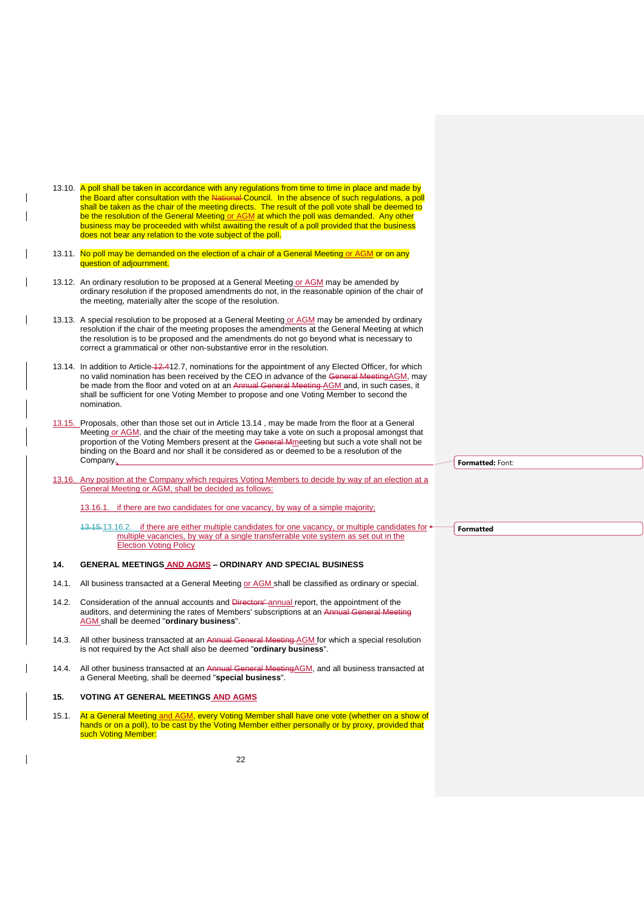<span id="page-22-3"></span>

|       | 13.10. A poll shall be taken in accordance with any regulations from time to time in place and made by<br>the Board after consultation with the National Council. In the absence of such regulations, a poll<br>shall be taken as the chair of the meeting directs. The result of the poll vote shall be deemed to<br>be the resolution of the General Meeting or AGM at which the poll was demanded. Any other<br>business may be proceeded with whilst awaiting the result of a poll provided that the business<br>does not bear any relation to the vote subject of the poll. |                  |
|-------|----------------------------------------------------------------------------------------------------------------------------------------------------------------------------------------------------------------------------------------------------------------------------------------------------------------------------------------------------------------------------------------------------------------------------------------------------------------------------------------------------------------------------------------------------------------------------------|------------------|
|       | 13.11. No poll may be demanded on the election of a chair of a General Meeting or AGM or on any<br>question of adjournment.                                                                                                                                                                                                                                                                                                                                                                                                                                                      |                  |
|       | 13.12. An ordinary resolution to be proposed at a General Meeting or AGM may be amended by<br>ordinary resolution if the proposed amendments do not, in the reasonable opinion of the chair of<br>the meeting, materially alter the scope of the resolution.                                                                                                                                                                                                                                                                                                                     |                  |
|       | 13.13. A special resolution to be proposed at a General Meeting or AGM may be amended by ordinary<br>resolution if the chair of the meeting proposes the amendments at the General Meeting at which<br>the resolution is to be proposed and the amendments do not go beyond what is necessary to<br>correct a grammatical or other non-substantive error in the resolution.                                                                                                                                                                                                      |                  |
|       | 13.14. In addition to Article 12.412.7, nominations for the appointment of any Elected Officer, for which<br>no valid nomination has been received by the CEO in advance of the General Meeting AGM, may<br>be made from the floor and voted on at an Annual General Meeting-AGM and, in such cases, it<br>shall be sufficient for one Voting Member to propose and one Voting Member to second the<br>nomination.                                                                                                                                                               |                  |
|       | 13.15. Proposals, other than those set out in Article 13.14, may be made from the floor at a General<br>Meeting or AGM, and the chair of the meeting may take a vote on such a proposal amongst that<br>proportion of the Voting Members present at the General Mmeeting but such a vote shall not be<br>binding on the Board and nor shall it be considered as or deemed to be a resolution of the<br>Company,                                                                                                                                                                  | Formatted: Font: |
|       | 13.16. Any position at the Company which requires Voting Members to decide by way of an election at a<br>General Meeting or AGM, shall be decided as follows:                                                                                                                                                                                                                                                                                                                                                                                                                    |                  |
|       | 13.16.1. if there are two candidates for one vacancy, by way of a simple majority;                                                                                                                                                                                                                                                                                                                                                                                                                                                                                               |                  |
|       | 43.15.13.16.2. if there are either multiple candidates for one vacancy, or multiple candidates for $\rightarrow$<br>multiple vacancies, by way of a single transferrable vote system as set out in the<br><b>Election Voting Policy</b>                                                                                                                                                                                                                                                                                                                                          | <b>Formatted</b> |
| 14.   | <b>GENERAL MEETINGS AND AGMS - ORDINARY AND SPECIAL BUSINESS</b>                                                                                                                                                                                                                                                                                                                                                                                                                                                                                                                 |                  |
|       | 14.1. All business transacted at a General Meeting or AGM shall be classified as ordinary or special.                                                                                                                                                                                                                                                                                                                                                                                                                                                                            |                  |
| 14.2. | Consideration of the annual accounts and Directors' annual report, the appointment of the<br>auditors, and determining the rates of Members' subscriptions at an Annual General Meeting<br>AGM shall be deemed "ordinary business".                                                                                                                                                                                                                                                                                                                                              |                  |
|       | 14.3. All other business transacted at an Annual General Meeting AGM for which a special resolution<br>is not required by the Act shall also be deemed "ordinary business".                                                                                                                                                                                                                                                                                                                                                                                                      |                  |

<span id="page-22-4"></span><span id="page-22-2"></span><span id="page-22-0"></span>14.4. All other business transacted at an Annual General MeetingAGM, and all business transacted at a General Meeting, shall be deemed "**special business**".

# <span id="page-22-1"></span>**15. VOTING AT GENERAL MEETINGS AND AGMS**

 $\overline{\phantom{a}}$ 

15.1. At a General Meetin<u>g and AGM</u>, every Voting Member shall have one vote (whether on a show of hands or on a poll), to be cast by the Voting Member either personally or by proxy, provided that such Voting Member:

22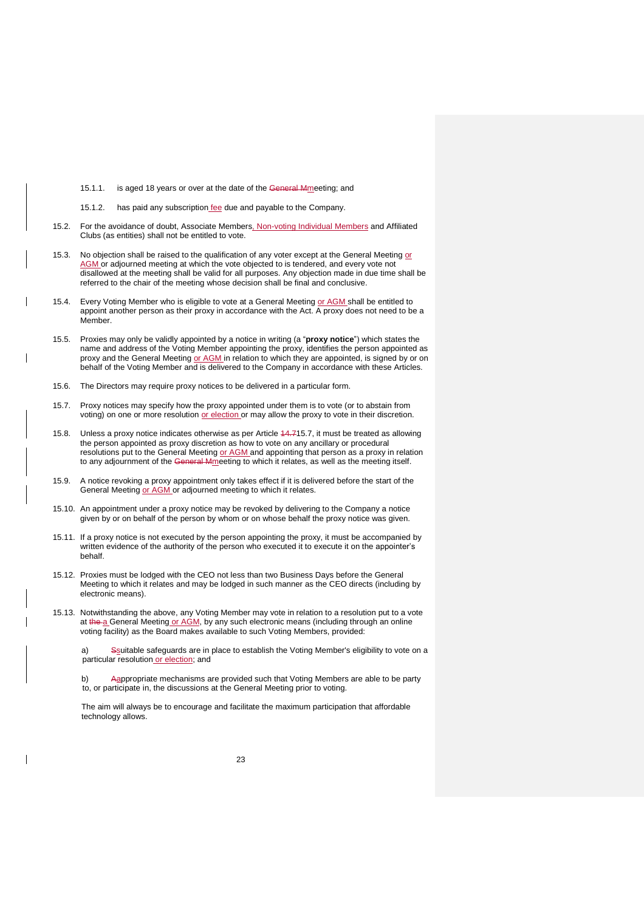- 15.1.1. is aged 18 years or over at the date of the General Mmeeting; and
- 15.1.2. has paid any subscription fee due and payable to the Company.
- 15.2. For the avoidance of doubt, Associate Members, Non-voting Individual Members and Affiliated Clubs (as entities) shall not be entitled to vote.
- 15.3. No objection shall be raised to the qualification of any voter except at the General Meeting or AGM or adjourned meeting at which the vote objected to is tendered, and every vote not disallowed at the meeting shall be valid for all purposes. Any objection made in due time shall be referred to the chair of the meeting whose decision shall be final and conclusive.
- 15.4. Every Voting Member who is eligible to vote at a General Meeting or AGM shall be entitled to appoint another person as their proxy in accordance with the Act. A proxy does not need to be a Member.
- 15.5. Proxies may only be validly appointed by a notice in writing (a "**proxy notice**") which states the name and address of the Voting Member appointing the proxy, identifies the person appointed as proxy and the General Meeting or AGM in relation to which they are appointed, is signed by or on behalf of the Voting Member and is delivered to the Company in accordance with these Articles.
- 15.6. The Directors may require proxy notices to be delivered in a particular form.
- <span id="page-23-0"></span>15.7. Proxy notices may specify how the proxy appointed under them is to vote (or to abstain from voting) on one or more resolution or election or may allow the proxy to vote in their discretion.
- 15.8. Unless a proxy notice indicates otherwise as per Article 14.[715.7,](#page-23-0) it must be treated as allowing the person appointed as proxy discretion as how to vote on any ancillary or procedural resolutions put to the General Meeting or AGM and appointing that person as a proxy in relation to any adjournment of the General Mmeeting to which it relates, as well as the meeting itself.
- 15.9. A notice revoking a proxy appointment only takes effect if it is delivered before the start of the General Meeting or AGM or adjourned meeting to which it relates.
- 15.10. An appointment under a proxy notice may be revoked by delivering to the Company a notice given by or on behalf of the person by whom or on whose behalf the proxy notice was given.
- 15.11. If a proxy notice is not executed by the person appointing the proxy, it must be accompanied by written evidence of the authority of the person who executed it to execute it on the appointer's behalf.
- 15.12. Proxies must be lodged with the CEO not less than two Business Days before the General Meeting to which it relates and may be lodged in such manner as the CEO directs (including by electronic means).
- 15.13. Notwithstanding the above, any Voting Member may vote in relation to a resolution put to a vote at the a General Meeting or AGM, by any such electronic means (including through an online voting facility) as the Board makes available to such Voting Members, provided:

a) Ssuitable safeguards are in place to establish the Voting Member's eligibility to vote on a particular resolution or election; and

b) Aappropriate mechanisms are provided such that Voting Members are able to be party to, or participate in, the discussions at the General Meeting prior to voting.

The aim will always be to encourage and facilitate the maximum participation that affordable technology allows.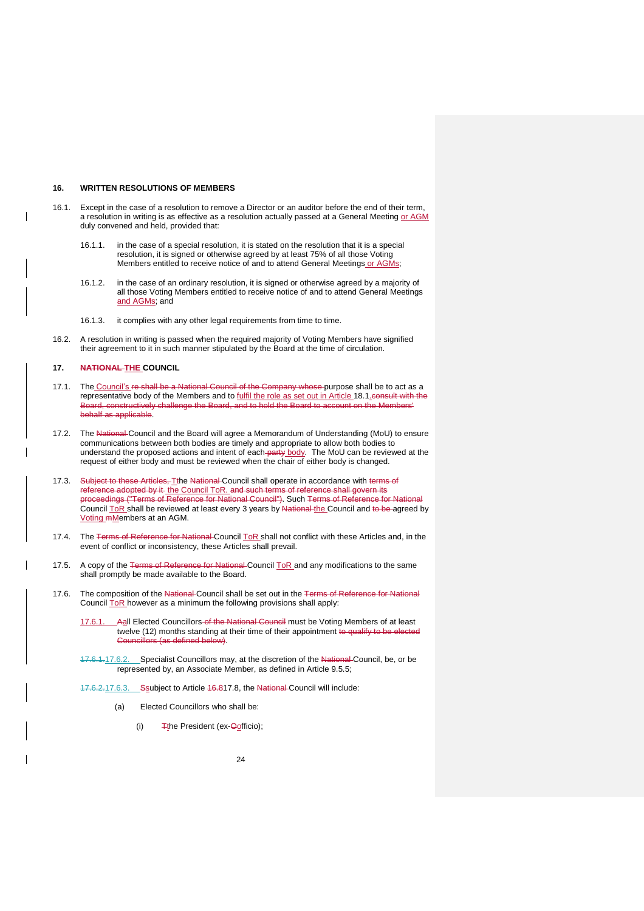### <span id="page-24-0"></span>**16. WRITTEN RESOLUTIONS OF MEMBERS**

- 16.1. Except in the case of a resolution to remove a Director or an auditor before the end of their term, a resolution in writing is as effective as a resolution actually passed at a General Meeting or AGM duly convened and held, provided that:
	- 16.1.1. in the case of a special resolution, it is stated on the resolution that it is a special resolution, it is signed or otherwise agreed by at least 75% of all those Voting Members entitled to receive notice of and to attend General Meetings or AGMs;
	- 16.1.2. in the case of an ordinary resolution, it is signed or otherwise agreed by a majority of all those Voting Members entitled to receive notice of and to attend General Meetings and AGMs; and
	- 16.1.3. it complies with any other legal requirements from time to time.
- 16.2. A resolution in writing is passed when the required majority of Voting Members have signified their agreement to it in such manner stipulated by the Board at the time of circulation.

### <span id="page-24-1"></span>**17. NATIONAL THE COUNCIL**

- 17.1. The Council's re shall be a National Council of the Company whose purpose shall be to act as a representative body of the Members and to fulfil the role as set out in Article [18.1.](#page-26-1)consult with the Board, constructively challenge the Board, and to hold the Board to account on the Members' behalf as applicable.
- 17.2. The National Council and the Board will agree a Memorandum of Understanding (MoU) to ensure communications between both bodies are timely and appropriate to allow both bodies to understand the proposed actions and intent of each party body. The MoU can be reviewed at the request of either body and must be reviewed when the chair of either body is changed.
- 17.3. Subject to these Articles, T<sub>the National</sub> Council shall operate in accordance with terms of reference adopted by it the Council ToR. and such terms of reference shall govern its proceedings ("Terms of Reference for National Council"). Such Terms of Reference for National Council ToR shall be reviewed at least every 3 years by National the Council and to be agreed by Voting mMembers at an AGM.
- 17.4. The Terms of Reference for National Council ToR shall not conflict with these Articles and, in the event of conflict or inconsistency, these Articles shall prevail.
- 17.5. A copy of the Terms of Reference for National Council ToR and any modifications to the same shall promptly be made available to the Board.
- <span id="page-24-2"></span>17.6. The composition of the National Council shall be set out in the Terms of Reference for National Council ToR however as a minimum the following provisions shall apply:
	- Aall Elected Councillors of the National Council must be Voting Members of at least twelve (12) months standing at their time of their appointment to qualify to be elected rs (as defined below).
	- 17.6.1.17.6.2. Specialist Councillors may, at the discretion of the National Council, be, or be represented by, an Associate Member, as defined in Article [9.5.5;](#page-14-2)
	- 17.6.2.17.6.3. Soubject to Article 16.[817.8,](#page-25-3) the National Council will include:
		- (a) Elected Councillors who shall be:
			- (i)  $\frac{1}{\sqrt{2}}$  T<sub>t</sub>he President (ex- $\frac{1}{\sqrt{2}}$  The President (ex- $\frac{1}{\sqrt{2}}$ )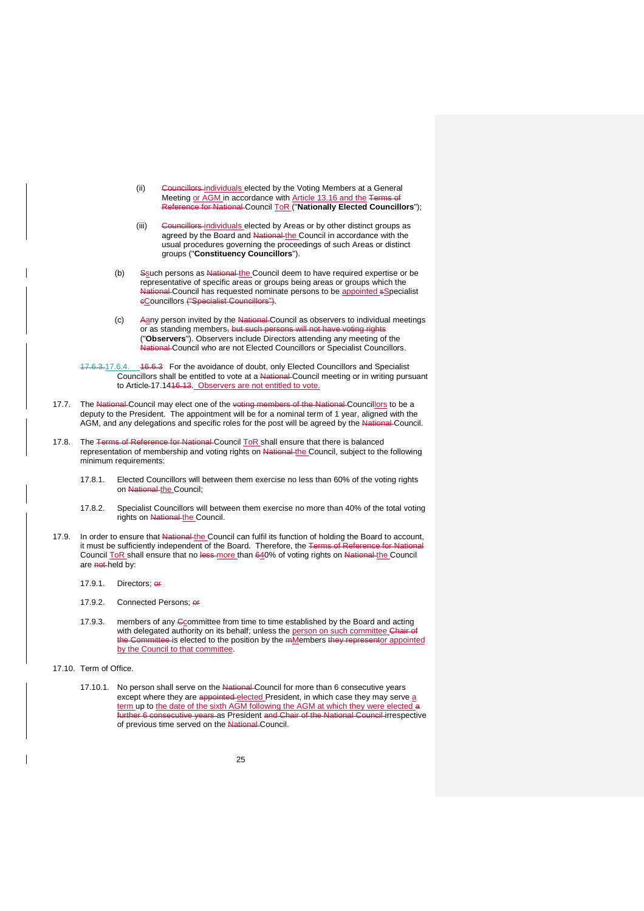- <span id="page-25-1"></span>(ii) Councillors individuals elected by the Voting Members at a General Meeting or AGM in accordance with Article [13.16](#page-22-4) and the Terms of Reference for National Council ToR ("**Nationally Elected Councillors**");
- (iii) Councillors-individuals elected by Areas or by other distinct groups as agreed by the Board and National the Council in accordance with the usual procedures governing the proceedings of such Areas or distinct groups ("**Constituency Councillors**").
- <span id="page-25-2"></span><span id="page-25-0"></span>(b) Ssuch persons as National the Council deem to have required expertise or be representative of specific areas or groups being areas or groups which the National Council has requested nominate persons to be appointed sSpecialist cCouncillors ("Specialist Councillors").
- (c) Aany person invited by the National Council as observers to individual meetings or as standing members<del>,</del> but such persons will not have voting rights ("**Observers**"). Observers include Directors attending any meeting of the National Council who are not Elected Councillors or Specialist Councillors.

17.6.3.17.6.4. 16.6.3 For the avoidance of doubt, only Elected Councillors and Specialist Councillors shall be entitled to vote at a National Council meeting or in writing pursuant to Article [17.1416.13.](#page-26-2) Observers are not entitled to vote.

- 17.7. The National Council may elect one of the voting members of the National Councillors to be a deputy to the President. The appointment will be for a nominal term of 1 year, aligned with the AGM, and any delegations and specific roles for the post will be agreed by the National Council.
- <span id="page-25-4"></span><span id="page-25-3"></span>17.8. The Terms of Reference for National Council ToR shall ensure that there is balanced representation of membership and voting rights on National the Council, subject to the following minimum requirements:
	- 17.8.1. Elected Councillors will between them exercise no less than 60% of the voting rights on National the Council;
	- 17.8.2. Specialist Councillors will between them exercise no more than 40% of the total voting rights on National the Council.
- <span id="page-25-5"></span>17.9. In order to ensure that National the Council can fulfil its function of holding the Board to account, it must be sufficiently independent of the Board. Therefore, the Terms of Reference for National Council ToR shall ensure that no less more than 640% of voting rights on National the Council are not held by:
	- 17.9.1. Directors; or
	- 17.9.2. Connected Persons: er-
	- 17.9.3. members of any  $G$  committee from time to time established by the Board and acting with delegated authority on its behalf; unless the person on such committee Chair of the Committee is elected to the position by the mMembers they representor appointed by the Council to that committee.
- 17.10. Term of Office.
	- 17.10.1. No person shall serve on the National Council for more than 6 consecutive years except where they are appointed elected President, in which case they may serve a term up to <u>the date of the sixth AGM following the AGM at which they were elected a</u> further 6 consecutive years as President <del>and Chair of the National Council </del>irrespective of previous time served on the National Council.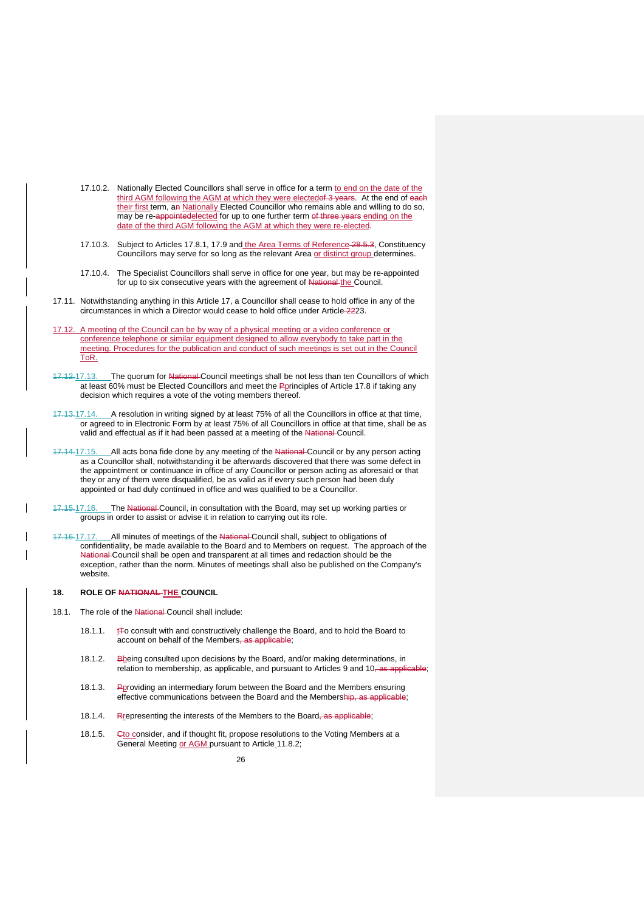- 17.10.2. Nationally Elected Councillors shall serve in office for a term to end on the date of the third AGM following the AGM at which they were electedof 3 years. At the end of each their first term, an Nationally Elected Councillor who remains able and willing to do so, may be re-appointedelected for up to one further term of three years ending on the date of the third AGM following the AGM at which they were re-elected.
- 17.10.3. Subject to Articles [17.8.1,](#page-25-4) [17.9](#page-25-5) and the Area Terms of Reference [28.5.3,](#page-36-0) Constituency Councillors may serve for so long as the relevant Area or distinct group determines.
- 17.10.4. The Specialist Councillors shall serve in office for one year, but may be re-appointed for up to six consecutive years with the agreement of National the Council.
- 17.11. Notwithstanding anything in this Article [17,](#page-24-1) a Councillor shall cease to hold office in any of the circumstances in which a Director would cease to hold office under Article 2[223.](#page-31-0)
- 17.12. A meeting of the Council can be by way of a physical meeting or a video conference or conference telephone or similar equipment designed to allow everybody to take part in the meeting. Procedures for the publication and conduct of such meetings is set out in the Council ToR.
- 17.12.17.13. The quorum for National Council meetings shall be not less than ten Councillors of which at least 60% must be Elected Councillors and meet the Pprinciples of Article [17.8](#page-25-3) if taking any decision which requires a vote of the voting members thereof.
- <span id="page-26-2"></span>17.13.17.14. A resolution in writing signed by at least 75% of all the Councillors in office at that time, or agreed to in Electronic Form by at least 75% of all Councillors in office at that time, shall be as valid and effectual as if it had been passed at a meeting of the National Council.
- 17.14.17.15. All acts bona fide done by any meeting of the National Council or by any person acting as a Councillor shall, notwithstanding it be afterwards discovered that there was some defect in the appointment or continuance in office of any Councillor or person acting as aforesaid or that they or any of them were disqualified, be as valid as if every such person had been duly appointed or had duly continued in office and was qualified to be a Councillor.
- 17.15.17.16. The National Council, in consultation with the Board, may set up working parties or groups in order to assist or advise it in relation to carrying out its role.
- 17.16.17.17. All minutes of meetings of the National Council shall, subject to obligations of confidentiality, be made available to the Board and to Members on request. The approach of the National Council shall be open and transparent at all times and redaction should be the exception, rather than the norm. Minutes of meetings shall also be published on the Company's website.

## <span id="page-26-0"></span>**18. ROLE OF NATIONAL THE COUNCIL**

- <span id="page-26-1"></span>18.1. The role of the National Council shall include:
	- 18.1.1.  $tT$  consult with and constructively challenge the Board, and to hold the Board to account on behalf of the Members, as applicable;
	- 18.1.2. Bbeing consulted upon decisions by the Board, and/or making determinations, in relation to membership, as applicable, and pursuant to Articles [9](#page-14-1) and [10,](#page-17-0) as applicable;
	- 18.1.3. Pproviding an intermediary forum between the Board and the Members ensuring effective communications between the Board and the Membership, as applicable;
	- 18.1.4. Rrepresenting the interests of the Members to the Board, as applicable;
	- 18.1.5. Gto consider, and if thought fit, propose resolutions to the Voting Members at a General Meeting or AGM pursuant to Article [11.8.2;](#page-18-6)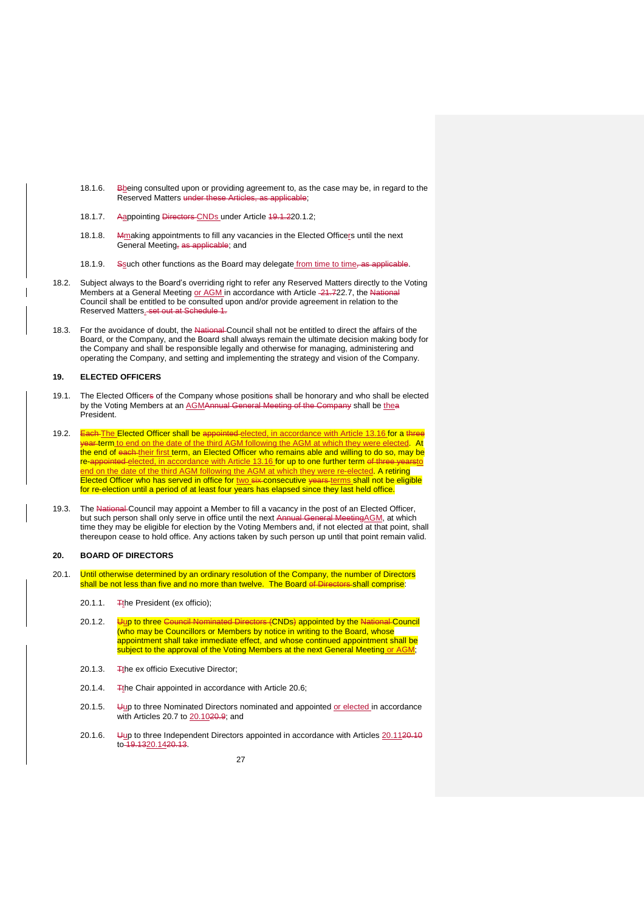- 18.1.6. Bbeing consulted upon or providing agreement to, as the case may be, in regard to the Reserved Matters under the
- 18.1.7. Aappointing Directors CNDs under Article 19.1.[220.1.2;](#page-27-2)
- 18.1.8. Mmaking appointments to fill any vacancies in the Elected Officers until the next General Meeting, as applicable; and
- 18.1.9. Ssuch other functions as the Board may delegate from time to time, as applicable.
- 18.2. Subject always to the Board's overriding right to refer any Reserved Matters directly to the Voting Members at a General Meeting or AGM in accordance with Article 21.[722.7,](#page-31-1) the Na Council shall be entitled to be consulted upon and/or provide agreement in relation to the Reserved Matters. set out at Schedule 1.
- 18.3. For the avoidance of doubt, the National-Council shall not be entitled to direct the affairs of the Board, or the Company, and the Board shall always remain the ultimate decision making body for the Company and shall be responsible legally and otherwise for managing, administering and operating the Company, and setting and implementing the strategy and vision of the Company.

## <span id="page-27-0"></span>**19. ELECTED OFFICERS**

- 19.1. The Elected Officers of the Company whose positions shall be honorary and who shall be elected by the Voting Members at an AGMAnnual General Meeting of the Company shall be thea President.
- 19.2. Each The Elected Officer shall be appointed elected, in accordance with Article [13.16](#page-22-4) for a three year term to end on the date of the third AGM following the AGM at which they were elected. At the end of each-their first term, an Elected Officer who remains able and willing to do so, may be re-appointed elected, in accordance with Article [13.16](#page-22-4) for up to one further term of three yearsto end on the date of the third AGM following the AGM at which they were re-elected. A retiring Elected Officer who has served in office for two six-consecutive years terms shall not be eligible for re-election until a period of at least four years has elapsed since they last held office.
- 19.3. The National Council may appoint a Member to fill a vacancy in the post of an Elected Officer, but such person shall only serve in office until the next Annual General MeetingAGM, at which time they may be eligible for election by the Voting Members and, if not elected at that point, shall thereupon cease to hold office. Any actions taken by such person up until that point remain valid.

## <span id="page-27-1"></span>**20. BOARD OF DIRECTORS**

- <span id="page-27-3"></span><span id="page-27-2"></span>20.1. Until otherwise determined by an ordinary resolution of the Company, the number of Directors shall be not less than five and no more than twelve. The Board of Directors shall comprise:
	- 20.1.1.  $\frac{m}{2}$ the President (ex officio);
	- 20.1.2. Uup to three Council Nominated Directors (CNDs) appointed by the National Council (who may be Councillors or Members by notice in writing to the Board, whose appointment shall take immediate effect, and whose continued appointment shall be subject to the approval of the Voting Members at the next General Meeting or AGM;
	- 20.1.3. Tthe ex officio Executive Director;
	- 20.1.4.  $\frac{1}{2}$ the Chair appointed in accordance with Article [20.6;](#page-28-2)
	- 20.1.5.  $\bigcup_{i=1}^{\infty}$  to three Nominated Directors nominated and appointed or elected in accordance with Articles [20.7](#page-28-0) to [20.1020.9;](#page-29-2) and
	- 20.1.6. Uup to three Independent Directors appointed in accordance with Articles [20.1120.10](#page-29-3) to 19.1320.1420.13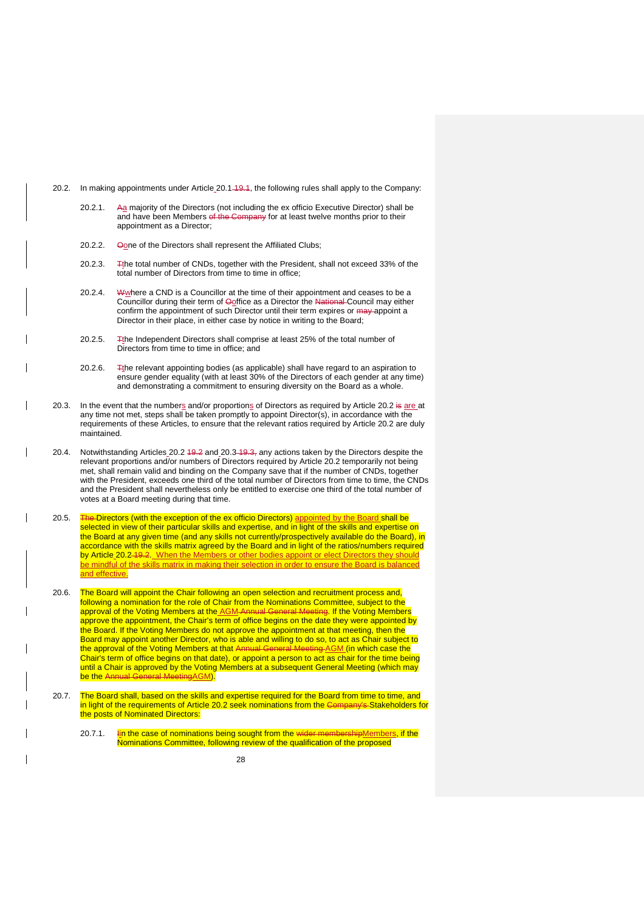- <span id="page-28-3"></span>20.2. In making appointments under Article [20.1](#page-27-3)–19.1, the following rules shall apply to the Company:
	- 20.2.1. Aa majority of the Directors (not including the ex officio Executive Director) shall be and have been Members of the Company for at least twelve months prior to their appointment as a Director;
	- 20.2.2. Oone of the Directors shall represent the Affiliated Clubs;
	- 20.2.3. The total number of CNDs, together with the President, shall not exceed 33% of the total number of Directors from time to time in office;
	- 20.2.4. Where a CND is a Councillor at the time of their appointment and ceases to be a Councillor during their term of Ooffice as a Director the National Council may either confirm the appointment of such Director until their term expires or  $\frac{may}{map}$  appoint a Director in their place, in either case by notice in writing to the Board;
	- 20.2.5. The Independent Directors shall comprise at least 25% of the total number of Directors from time to time in office; and
	- 20.2.6. The relevant appointing bodies (as applicable) shall have regard to an aspiration to ensure gender equality (with at least 30% of the Directors of each gender at any time) and demonstrating a commitment to ensuring diversity on the Board as a whole.
- <span id="page-28-4"></span>20.3. In the event that the numbers and/or proportions of Directors as required by Article [20.2](#page-28-3) is are at any time not met, steps shall be taken promptly to appoint Director(s), in accordance with the requirements of these Articles, to ensure that the relevant ratios required by Article [20.2](#page-28-3) are duly maintained.
- <span id="page-28-5"></span>20.4. Notwithstanding Articles [20.2](#page-28-3) 19.2 and [20.3](#page-28-4) 19.3, any actions taken by the Directors despite the relevant proportions and/or numbers of Directors required by Article [20.2](#page-28-3) temporarily not being met, shall remain valid and binding on the Company save that if the number of CNDs, together with the President, exceeds one third of the total number of Directors from time to time, the CNDs and the President shall nevertheless only be entitled to exercise one third of the total number of votes at a Board meeting during that time.
- 20.5. The Directors (with the exception of the ex officio Directors) appointed by the Board shall be selected in view of their particular skills and expertise, and in light of the skills and expertise on the Board at any given time (and any skills not currently/prospectively available do the Board), in accordance with the skills matrix agreed by the Board and in light of the ratios/numbers required by Article [20.2](#page-28-3) 19.2. When the Members or other bodies appoint or elect Directors they should be mindful of the skills matrix in making their selection in order to ensure the Board is balanced and effective.
- <span id="page-28-2"></span>20.6. The Board will appoint the Chair following an open selection and recruitment process and, following a nomination for the role of Chair from the Nominations Committee, subject to the approval of the Voting Members at the AGM-Annual General Meeting. If the Voting Members approve the appointment, the Chair's term of office begins on the date they were appointed by the Board. If the Voting Members do not approve the appointment at that meeting, then the Board may appoint another Director, who is able and willing to do so, to act as Chair subject to the approval of the Voting Members at that Annual General Meeting AGM (in which case the Chair's term of office begins on that date), or appoint a person to act as chair for the time being until a Chair is approved by the Voting Members at a subsequent General Meeting (which may be the Annual General MeetingAGM)
- <span id="page-28-1"></span><span id="page-28-0"></span>20.7. The Board shall, based on the skills and expertise required for the Board from time to time, and in light of the requirements of Article [20.2](#page-28-3) seek nominations from the Company's Stakeholders for the posts of Nominated Directors:
	- 20.7.1. In the case of nominations being sought from the wider membershipMembers, if the Nominations Committee, following review of the qualification of the proposed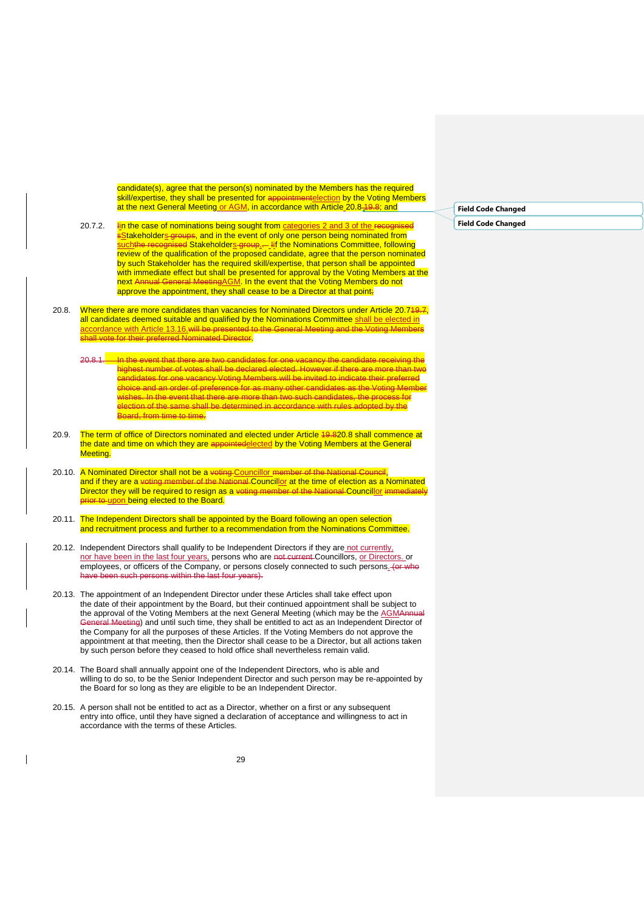candidate(s), agree that the person(s) nominated by the Members has the required skill/expertise, they shall be presented for appointmentelection by the Voting Members at the next General Meeting or AGM, in accordance with Article [20.8](#page-29-4) 19.8; and

- 20.7.2. In the case of nominations being sought from categories 2 and 3 of the recognised <mark>s<u>S</u>takeholder<u>s</u>-groups, and in the event of only one person being nominated from</mark> <u>such</u>the recognised Stakeholder<u>s group,</u>...\_Iif the Nominations Committee, following review of the qualification of the proposed candidate, agree that the person nominated by such Stakeholder has the required skill/expertise, that person shall be appointed with immediate effect but shall be presented for approval by the Voting Members at the next Annual General MeetingAGM. In the event that the Voting Members do not approve the appointment, they shall cease to be a Director at that point;
- <span id="page-29-4"></span>20.8. Where there are more candidates than vacancies for Nominated Directors under Article 20.749.7, all candidates deemed suitable and qualified by the Nominations Committee shall be elected in accordance with Article [13.16.](#page-22-4)will be presented to the General Meeting and the Voting Members shall vote for their preferred Nominated Director.
	- 20.8.1. In the event that there are two candidates for one vacancy the candidate receiving the highest number of votes shall be declared elected. However if there are more than two candidates for one vacancy Voting Members will be invited to indicate their preferred choice and an order of preference for as many other candidates as the Voting Member wishes. In the event that there are more than two such candidates, the process for election of the same shall be determined in accordance with rules adopted by the Board, from time to time.
- 20.9. The term of office of Directors nominated and elected under Article 19.[820.8](#page-29-4) shall commence at the date and time on which they are appointedelected by the Voting Members at the General Meeting.
- <span id="page-29-2"></span>20.10. A Nominated Director shall not be a <del>voting Councillor member of the National Council</del>, and if they are a voting member of the National Councillor at the time of election as a Nominated Director they will be required to resign as a voting member of the National Councillor immediately prior to upon being elected to the Board.
- <span id="page-29-3"></span>20.11. The Independent Directors shall be appointed by the Board following an open selection and recruitment process and further to a recommendation from the Nominations Committee.
- <span id="page-29-0"></span>20.12. Independent Directors shall qualify to be Independent Directors if they are not currently, nor have been in the last four years, persons who are not current Councillors, or Directors. or employees, or officers of the Company, or persons closely connected to such persons. (or who h persons within the last four years).
- 20.13. The appointment of an Independent Director under these Articles shall take effect upon the date of their appointment by the Board, but their continued appointment shall be subject to the approval of the Voting Members at the next General Meeting (which may be the AGMAnnual General Meeting) and until such time, they shall be entitled to act as an Independent Director of the Company for all the purposes of these Articles. If the Voting Members do not approve the appointment at that meeting, then the Director shall cease to be a Director, but all actions taken by such person before they ceased to hold office shall nevertheless remain valid.
- <span id="page-29-1"></span>20.14. The Board shall annually appoint one of the Independent Directors, who is able and willing to do so, to be the Senior Independent Director and such person may be re-appointed by the Board for so long as they are eligible to be an Independent Director.
- 20.15. A person shall not be entitled to act as a Director, whether on a first or any subsequent entry into office, until they have signed a declaration of acceptance and willingness to act in accordance with the terms of these Articles.

**Field Code Changed Field Code Changed**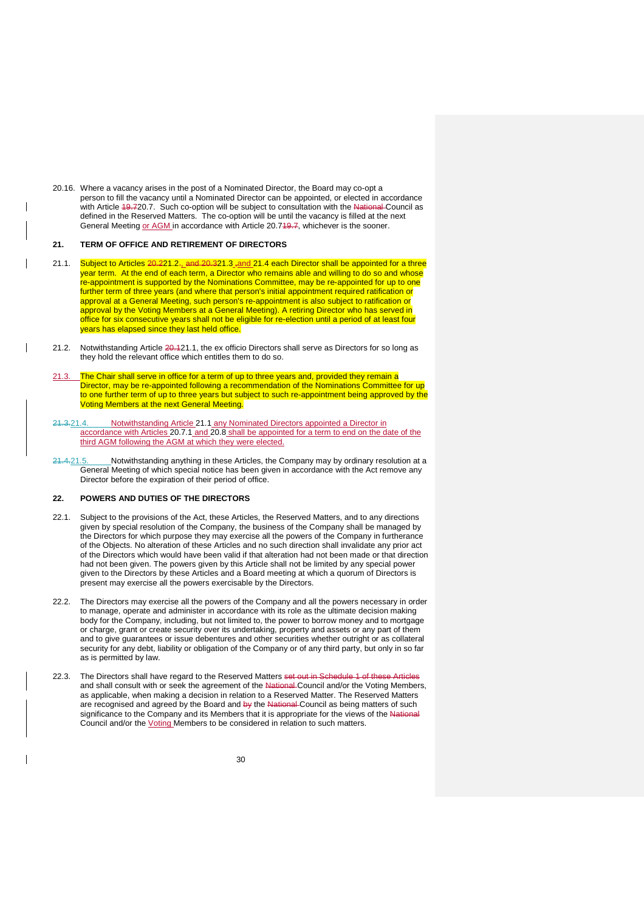20.16. Where a vacancy arises in the post of a Nominated Director, the Board may co-opt a person to fill the vacancy until a Nominated Director can be appointed, or elected in accordance with Article 19.[720.7.](#page-28-0) Such co-option will be subject to consultation with the National Council as defined in the Reserved Matters. The co-option will be until the vacancy is filled at the next General Meeting or AGM in accordance with Article 20.749.7, whichever is the sooner.

## <span id="page-30-0"></span>**21. TERM OF OFFICE AND RETIREMENT OF DIRECTORS**

- <span id="page-30-6"></span>21.1. Subject to Articles 20.[221.2](#page-30-3) , and 20.[321.3](#page-30-4) and [21.4](#page-30-5) each Director shall be appointed for a three year term. At the end of each term, a Director who remains able and willing to do so and whose re-appointment is supported by the Nominations Committee, may be re-appointed for up to one further term of three years (and where that person's initial appointment required ratification or approval at a General Meeting, such person's re-appointment is also subject to ratification or approval by the Voting Members at a General Meeting). A retiring Director who has served in office for six consecutive years shall not be eligible for re-election until a period of at least four years has elapsed since they last held office.
- <span id="page-30-3"></span>21.2. Notwithstanding Article 20.[121.1,](#page-30-6) the ex officio Directors shall serve as Directors for so long as they hold the relevant office which entitles them to do so.
- <span id="page-30-4"></span>The Chair shall serve in office for a term of up to three years and, provided they remain a Director, may be re-appointed following a recommendation of the Nominations Committee for up to one further term of up to three years but subject to such re-appointment being approved by the Voting Members at the next General Meeting.
- <span id="page-30-5"></span>21.3.21.4. Notwithstanding Article [21.1](#page-30-6) any Nominated Directors appointed a Director in accordance with Articles [20.7.1](#page-28-1) and [20.8](#page-29-4) shall be appointed for a term to end on the date of the third AGM following the AGM at which they were elected.
- 21.4.21.5. Notwithstanding anything in these Articles, the Company may by ordinary resolution at a General Meeting of which special notice has been given in accordance with the Act remove any Director before the expiration of their period of office.

### <span id="page-30-1"></span>**22. POWERS AND DUTIES OF THE DIRECTORS**

- 22.1. Subject to the provisions of the Act, these Articles, the Reserved Matters, and to any directions given by special resolution of the Company, the business of the Company shall be managed by the Directors for which purpose they may exercise all the powers of the Company in furtherance of the Objects. No alteration of these Articles and no such direction shall invalidate any prior act of the Directors which would have been valid if that alteration had not been made or that direction had not been given. The powers given by this Article shall not be limited by any special power given to the Directors by these Articles and a Board meeting at which a quorum of Directors is present may exercise all the powers exercisable by the Directors.
- 22.2. The Directors may exercise all the powers of the Company and all the powers necessary in order to manage, operate and administer in accordance with its role as the ultimate decision making body for the Company, including, but not limited to, the power to borrow money and to mortgage or charge, grant or create security over its undertaking, property and assets or any part of them and to give guarantees or issue debentures and other securities whether outright or as collateral security for any debt, liability or obligation of the Company or of any third party, but only in so far as is permitted by law.
- <span id="page-30-2"></span>22.3. The Directors shall have regard to the Reserved Matters set out in Schedule 1 of these Articles and shall consult with or seek the agreement of the National Council and/or the Voting Members, as applicable, when making a decision in relation to a Reserved Matter. The Reserved Matters are recognised and agreed by the Board and by the National Council as being matters of such significance to the Company and its Members that it is appropriate for the views of the National Council and/or the Voting Members to be considered in relation to such matters.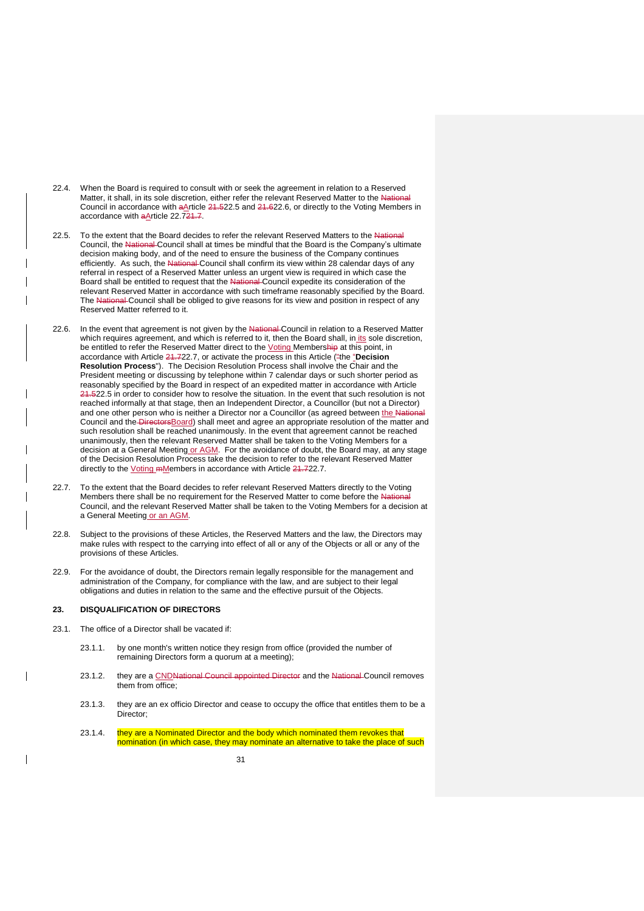- 22.4. When the Board is required to consult with or seek the agreement in relation to a Reserved Matter, it shall, in its sole discretion, either refer the relevant Reserved Matter to the National Council in accordance with aArticle 21.[522.5](#page-31-2) and 21.[622.6,](#page-31-3) or directly to the Voting Members in accordance with aArticle [22.72](#page-31-1)1.7.
- <span id="page-31-2"></span>22.5. To the extent that the Board decides to refer the relevant Reserved Matters to the National Council, the National Council shall at times be mindful that the Board is the Company's ultimate decision making body, and of the need to ensure the business of the Company continues efficiently. As such, the National-Council shall confirm its view within 28 calendar days of any referral in respect of a Reserved Matter unless an urgent view is required in which case the Board shall be entitled to request that the National Council expedite its consideration of the relevant Reserved Matter in accordance with such timeframe reasonably specified by the Board. The National Council shall be obliged to give reasons for its view and position in respect of any Reserved Matter referred to it.
- <span id="page-31-3"></span>22.6. In the event that agreement is not given by the National Council in relation to a Reserved Matter which requires agreement, and which is referred to it, then the Board shall, in its sole discretion, be entitled to refer the Reserved Matter direct to the *Voting Membership* at this point, in accordance with Article 21.[722.7,](#page-31-1) or activate the process in this Article ("the "**Decision Resolution Process**"). The Decision Resolution Process shall involve the Chair and the President meeting or discussing by telephone within 7 calendar days or such shorter period as reasonably specified by the Board in respect of an expedited matter in accordance with Article 24.[522.5](#page-31-2) in order to consider how to resolve the situation. In the event that such resolution is not reached informally at that stage, then an Independent Director, a Councillor (but not a Director) and one other person who is neither a Director nor a Councillor (as agreed between the Na Council and the DirectorsBoard) shall meet and agree an appropriate resolution of the matter and such resolution shall be reached unanimously. In the event that agreement cannot be reached unanimously, then the relevant Reserved Matter shall be taken to the Voting Members for a decision at a General Meeting or AGM. For the avoidance of doubt, the Board may, at any stage of the Decision Resolution Process take the decision to refer to the relevant Reserved Matter directly to the *Voting mMembers* in accordance with Article 21.[722.7.](#page-31-1)
- <span id="page-31-1"></span>22.7. To the extent that the Board decides to refer relevant Reserved Matters directly to the Voting Members there shall be no requirement for the Reserved Matter to come before the Nat Council, and the relevant Reserved Matter shall be taken to the Voting Members for a decision at a General Meeting or an AGM.
- 22.8. Subject to the provisions of these Articles, the Reserved Matters and the law, the Directors may make rules with respect to the carrying into effect of all or any of the Objects or all or any of the provisions of these Articles.
- 22.9. For the avoidance of doubt, the Directors remain legally responsible for the management and administration of the Company, for compliance with the law, and are subject to their legal obligations and duties in relation to the same and the effective pursuit of the Objects.

## <span id="page-31-0"></span>**23. DISQUALIFICATION OF DIRECTORS**

- 23.1. The office of a Director shall be vacated if:
	- 23.1.1. by one month's written notice they resign from office (provided the number of remaining Directors form a quorum at a meeting);
	- 23.1.2. they are a CNDNational Council appointed Director and the National Council removes them from office;
	- 23.1.3. they are an ex officio Director and cease to occupy the office that entitles them to be a Director;
	- 23.1.4. they are a Nominated Director and the body which nominated them revokes that nomination (in which case, they may nominate an alternative to take the place of such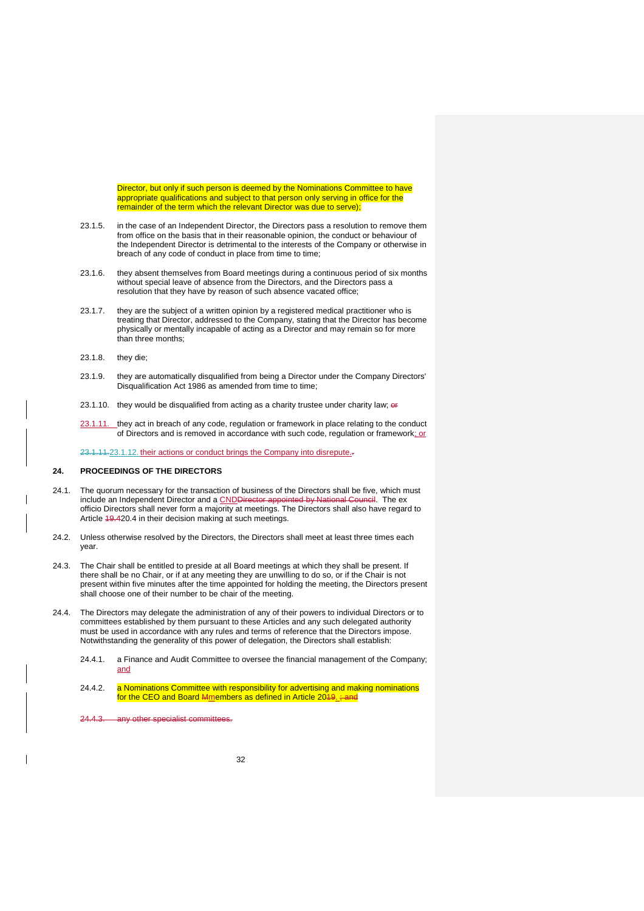Director, but only if such person is deemed by the Nominations Committee to have appropriate qualifications and subject to that person only serving in office for the remainder of the term which the relevant Director was due to serve);

- 23.1.5. in the case of an Independent Director, the Directors pass a resolution to remove them from office on the basis that in their reasonable opinion, the conduct or behaviour of the Independent Director is detrimental to the interests of the Company or otherwise in breach of any code of conduct in place from time to time;
- 23.1.6. they absent themselves from Board meetings during a continuous period of six months without special leave of absence from the Directors, and the Directors pass a resolution that they have by reason of such absence vacated office;
- 23.1.7. they are the subject of a written opinion by a registered medical practitioner who is treating that Director, addressed to the Company, stating that the Director has become physically or mentally incapable of acting as a Director and may remain so for more than three months;
- 23.1.8. they die;
- 23.1.9. they are automatically disqualified from being a Director under the Company Directors' Disqualification Act 1986 as amended from time to time;
- 23.1.10. they would be disqualified from acting as a charity trustee under charity law;  $\theta$
- 23.1.11. they act in breach of any code, regulation or framework in place relating to the conduct of Directors and is removed in accordance with such code, regulation or framework; or

23.1.11.23.1.12. their actions or conduct brings the Company into disrepute.-

## <span id="page-32-0"></span>**24. PROCEEDINGS OF THE DIRECTORS**

- 24.1. The quorum necessary for the transaction of business of the Directors shall be five, which must include an Independent Director and a <u>CND</u>Director appointed by National Council. The ex officio Directors shall never form a majority at meetings. The Directors shall also have regard to Article 19.[420.4](#page-28-5) in their decision making at such meetings.
- 24.2. Unless otherwise resolved by the Directors, the Directors shall meet at least three times each year.
- 24.3. The Chair shall be entitled to preside at all Board meetings at which they shall be present. If there shall be no Chair, or if at any meeting they are unwilling to do so, or if the Chair is not present within five minutes after the time appointed for holding the meeting, the Directors present shall choose one of their number to be chair of the meeting.
- 24.4. The Directors may delegate the administration of any of their powers to individual Directors or to committees established by them pursuant to these Articles and any such delegated authority must be used in accordance with any rules and terms of reference that the Directors impose. Notwithstanding the generality of this power of delegation, the Directors shall establish:
	- 24.4.1. a Finance and Audit Committee to oversee the financial management of the Company; and
	- 24.4.2. a Nominations Committee with responsibility for advertising and making nominations for the CEO and Board Mmembers as defined in Article [201](#page-27-1)9.; and
	- 24.4.3. any other specialist committe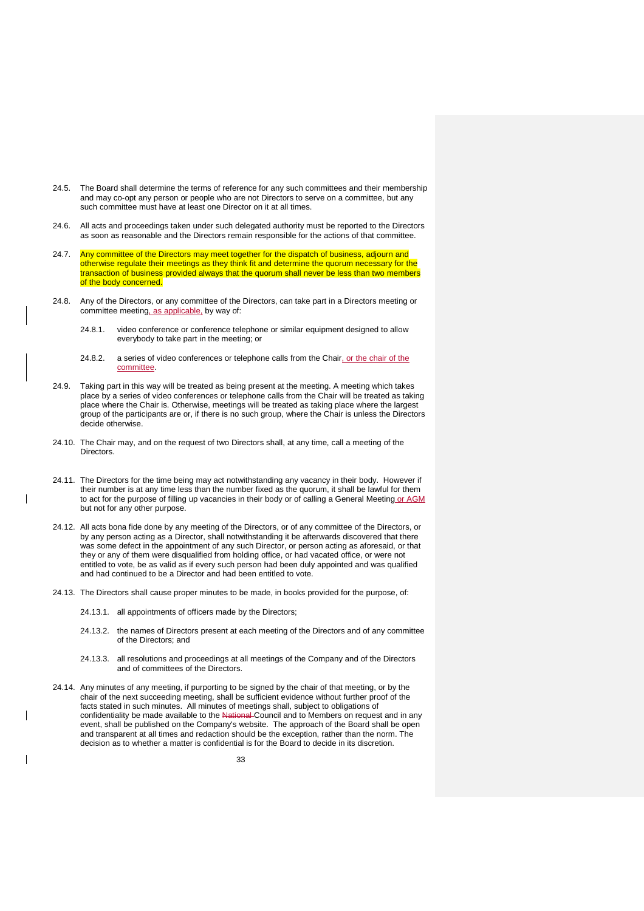- 24.5. The Board shall determine the terms of reference for any such committees and their membership and may co-opt any person or people who are not Directors to serve on a committee, but any such committee must have at least one Director on it at all times.
- 24.6. All acts and proceedings taken under such delegated authority must be reported to the Directors as soon as reasonable and the Directors remain responsible for the actions of that committee.
- 24.7. Any committee of the Directors may meet together for the dispatch of business, adjourn and otherwise regulate their meetings as they think fit and determine the quorum necessary for the transaction of business provided always that the quorum shall never be less than two members of the body concerned.
- 24.8. Any of the Directors, or any committee of the Directors, can take part in a Directors meeting or committee meeting, as applicable, by way of:
	- 24.8.1. video conference or conference telephone or similar equipment designed to allow everybody to take part in the meeting; or
	- 24.8.2. a series of video conferences or telephone calls from the Chair, or the chair of the committee.
- 24.9. Taking part in this way will be treated as being present at the meeting. A meeting which takes place by a series of video conferences or telephone calls from the Chair will be treated as taking place where the Chair is. Otherwise, meetings will be treated as taking place where the largest group of the participants are or, if there is no such group, where the Chair is unless the Directors decide otherwise.
- 24.10. The Chair may, and on the request of two Directors shall, at any time, call a meeting of the Directors.
- 24.11. The Directors for the time being may act notwithstanding any vacancy in their body. However if their number is at any time less than the number fixed as the quorum, it shall be lawful for them to act for the purpose of filling up vacancies in their body or of calling a General Meeting or AGM but not for any other purpose.
- 24.12. All acts bona fide done by any meeting of the Directors, or of any committee of the Directors, or by any person acting as a Director, shall notwithstanding it be afterwards discovered that there was some defect in the appointment of any such Director, or person acting as aforesaid, or that they or any of them were disqualified from holding office, or had vacated office, or were not entitled to vote, be as valid as if every such person had been duly appointed and was qualified and had continued to be a Director and had been entitled to vote.
- 24.13. The Directors shall cause proper minutes to be made, in books provided for the purpose, of:
	- 24.13.1. all appointments of officers made by the Directors;
	- 24.13.2. the names of Directors present at each meeting of the Directors and of any committee of the Directors; and
	- 24.13.3. all resolutions and proceedings at all meetings of the Company and of the Directors and of committees of the Directors.
- 24.14. Any minutes of any meeting, if purporting to be signed by the chair of that meeting, or by the chair of the next succeeding meeting, shall be sufficient evidence without further proof of the facts stated in such minutes. All minutes of meetings shall, subject to obligations of confidentiality be made available to the National-Council and to Members on request and in any event, shall be published on the Company's website. The approach of the Board shall be open and transparent at all times and redaction should be the exception, rather than the norm. The decision as to whether a matter is confidential is for the Board to decide in its discretion.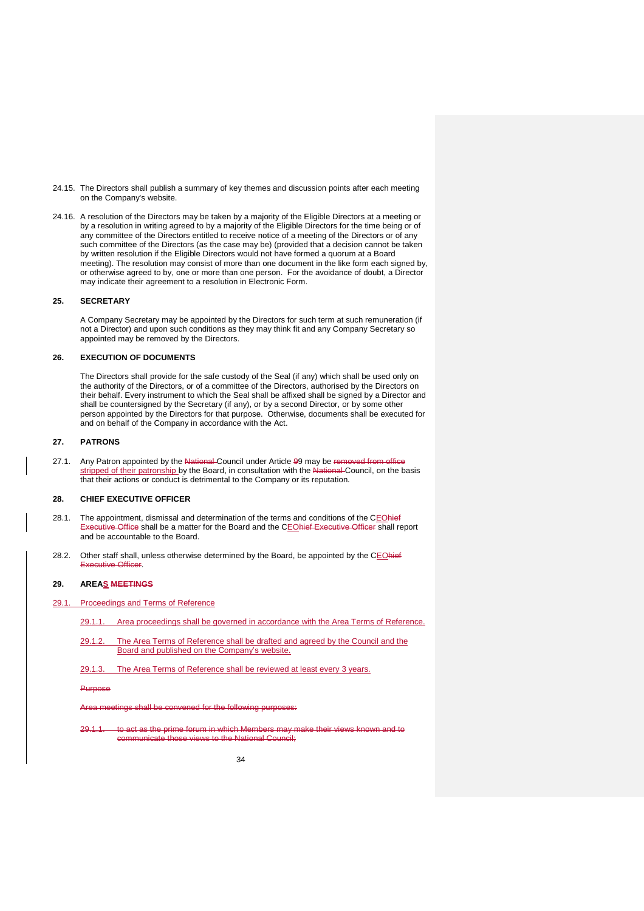- 24.15. The Directors shall publish a summary of key themes and discussion points after each meeting on the Company's website.
- 24.16. A resolution of the Directors may be taken by a majority of the Eligible Directors at a meeting or by a resolution in writing agreed to by a majority of the Eligible Directors for the time being or of any committee of the Directors entitled to receive notice of a meeting of the Directors or of any such committee of the Directors (as the case may be) (provided that a decision cannot be taken by written resolution if the Eligible Directors would not have formed a quorum at a Board meeting). The resolution may consist of more than one document in the like form each signed by, or otherwise agreed to by, one or more than one person. For the avoidance of doubt, a Director may indicate their agreement to a resolution in Electronic Form.

## <span id="page-34-0"></span>**25. SECRETARY**

A Company Secretary may be appointed by the Directors for such term at such remuneration (if not a Director) and upon such conditions as they may think fit and any Company Secretary so appointed may be removed by the Directors.

### <span id="page-34-1"></span>**26. EXECUTION OF DOCUMENTS**

The Directors shall provide for the safe custody of the Seal (if any) which shall be used only on the authority of the Directors, or of a committee of the Directors, authorised by the Directors on their behalf. Every instrument to which the Seal shall be affixed shall be signed by a Director and shall be countersigned by the Secretary (if any), or by a second Director, or by some other person appointed by the Directors for that purpose. Otherwise, documents shall be executed for and on behalf of the Company in accordance with the Act.

#### <span id="page-34-2"></span>**27. PATRONS**

27.1. Any Patron appointed by the National-Council under Article [99](#page-14-1) may be removed from office stripped of their patronship by the Board, in consultation with the National Council, on the basis that their actions or conduct is detrimental to the Company or its reputation.

### <span id="page-34-3"></span>**28. CHIEF EXECUTIVE OFFICER**

- 28.1. The appointment, dismissal and determination of the terms and conditions of the CEOhief Executive Office shall be a matter for the Board and the CEOhief Executive Officer shall report and be accountable to the Board.
- 28.2. Other staff shall, unless otherwise determined by the Board, be appointed by the CEOhief Executive Officer.

#### <span id="page-34-4"></span>**29. AREAS MEETINGS**

- 29.1. Proceedings and Terms of Reference
	- 29.1.1. Area proceedings shall be governed in accordance with the Area Terms of Reference.
	- 29.1.2. The Area Terms of Reference shall be drafted and agreed by the Council and the Board and published on the Company's website.
	- 29.1.3. The Area Terms of Reference shall be reviewed at least every 3 years.

Purpose

Area meetings shall be convened for the following purposes:

29.1.1. to act as the prime forum in which Members may make their views known and to communicate those views to the National Council;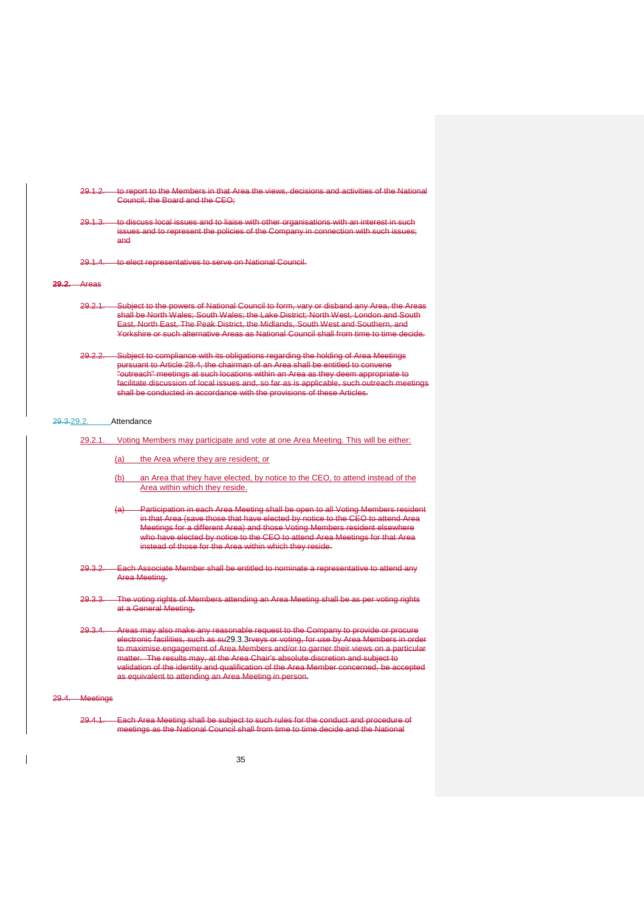- 29.1.2. to report to the Members in that Area the views, decisions and activities of the National Council, the Board and the CEO;
- 29.1.3. to discuss local issues and to liaise with other organisations with an interest in such issues and to represent the policies of the Company in connection with such issues; and
- 29.1.4. to elect representatives to serve on National Council.

**29.2.** Areas

- 29.2.1. Subject to the powers of National Council to form, vary or disband any Area, the shall be North Wales; South Wales; the Lake District; North West, London and South East, North East, The Peak District, the Midlands, South West and Southern, and Yorkshire or such alternative Areas as National Council shall from time to time decide.
- 29.2.2. Subject to compliance with its obligations regarding the holding of Area Meetings pursuant to Article 28.4, the chairman of an Area shall be entitled to convene "outreach" meetings at such locations within an Area as they deem appropriate to facilitate discussion of local issues and, so far as is applicable, such outreach meetings shall be conducted in accordance with the provisions of these Articles.

### 29.3.29.2. Attendance

- <span id="page-35-0"></span>29.2.1. Voting Members may participate and vote at one Area Meeting. This will be either:
	- (a) the Area where they are resident; or
	- (b) an Area that they have elected, by notice to the CEO, to attend instead of the Area within which they reside.
	- (a) Participation in each Area Meeting shall be open to all Voting Members resident in that Area (save those that have elected by notice to the CEO to attend Area Meetings for a different Area) and those Voting Members resident elsewhere who have elected by notice to the CEO to attend Area Meetings for that Area instead of those for the Area within which they reside.
- 29.3.2. Each Associate Member shall be entitled to nominate a representative to attend any Area Meeting.
- 29.3.3. The voting rights of Members attending an Area Meeting shall be as per voting rights at a General Meeting**.**
- 29.3.4. Areas may also make any reasonable request to the Company to provide or procure electronic facilities, such as s[u29.3.3r](#page-36-0)veys or voting, for use by Area Members in order to maximise engagement of Area Members and/or to garner their views on a particular matter. The results may, at the Area Chair's absolute discretion and subject to validation of the identity and qualification of the Area Member concerned, be accepted as equivalent to attending an Area Meeting in person.

#### 29.4. Meetings

29.4.1. Each Area Meeting shall be subject to such rules for the conduct and procedure of meetings as the National Council shall from time to time decide and the National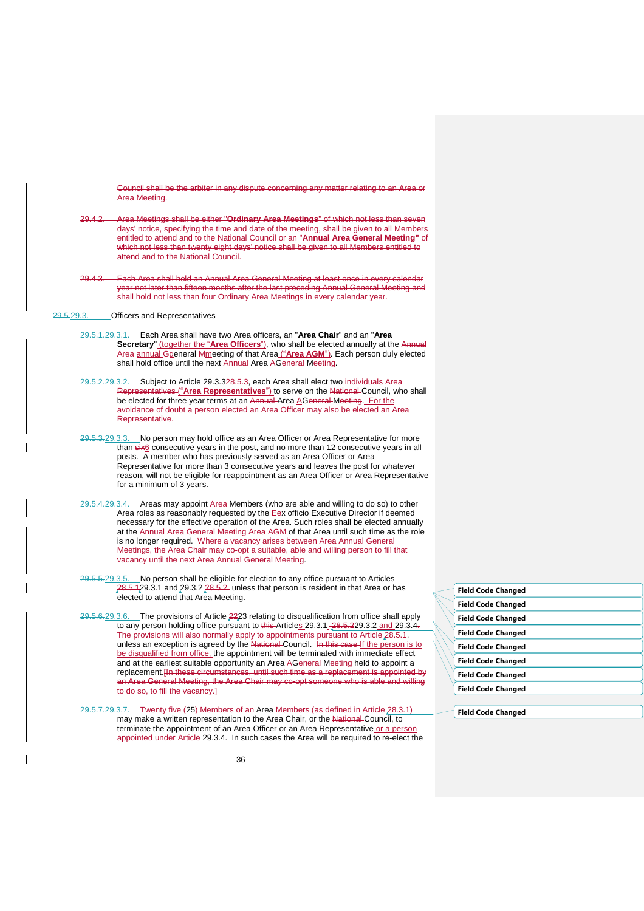Council shall be the arbiter in any dispute concerning any matter relating to an Area or Area Meeting.

29.4.2. Area Meetings shall be either "**Ordinary Area Meetings**" of which not less than seven days' notice, specifying the time and date of the meeting, shall be given to all Members entitled to attend and to the National Council or an "**Annual Area General Meeting"** of which not less than twenty eight days' notice shall be given to all Members entitled to attend and to the National Council.

Each Area shall hold an Annual Area General Meeting at least once in every calendar r not later than fifteen months after the last preceding Annual General Meeting and shall hold not less than four Ordinary Area Meetings in every calendar year.

<span id="page-36-1"></span>29.5.29.3. Officers and Representatives

- 29.5.1.29.3.1. Each Area shall have two Area officers, an "**Area Chair**" and an "**Area Secretary**" (together the "Area Officers"), who shall be elected annually at the Annual Area annual Ggeneral Mmeeting of that Area ("**Area AGM**"). Each person duly elected shall hold office until the next Annual Area AGeneral Meeting.
- <span id="page-36-2"></span>29.5.2.29.3.2. Subject to Article [29.3.32](#page-36-0)8.5.3, each Area shall elect two individuals Area Representatives ("**Area Representatives**") to serve on the National Council, who shall be elected for three year terms at an Annual Area AGeneral Meeting. For the avoidance of doubt a person elected an Area Officer may also be elected an Area Representative.
- <span id="page-36-0"></span>29.5.3.29.3.3. No person may hold office as an Area Officer or Area Representative for more than six6 consecutive years in the post, and no more than 12 consecutive years in all posts. A member who has previously served as an Area Officer or Area Representative for more than 3 consecutive years and leaves the post for whatever reason, will not be eligible for reappointment as an Area Officer or Area Representative for a minimum of 3 years.
- <span id="page-36-3"></span>29.5.4.29.3.4. Areas may appoint Area Members (who are able and willing to do so) to other Area roles as reasonably requested by the  $E$ ex officio Executive Director if deemed necessary for the effective operation of the Area. Such roles shall be elected annually at the Annual Area General Meeting Area AGM of that Area until such time as the role is no longer required. Where a vacancy arises between Area Annual General Meetings, the Area Chair may co-opt a suitable, able and willing person to fill that vacancy until the next Area Annual General Meeting.
- 29.5.5.29.3.5. No person shall be eligible for election to any office pursuant to Articles  $28.5.129.3.1$  $28.5.129.3.1$  and  $29.3.2$   $28.5.2$  unless that person is resident in that Area or has elected to attend that Area Meeting.
- 29.5.6.29.3.6. The provisions of Article 2[223](#page-31-0) relating to disqualification from office shall apply to any person holding office pursuant to this Articles [29.3.1](#page-36-1) 28.5.[229.3.2](#page-36-2) and [29.3.4.](#page-36-3) The provisions will also normally apply to appointments pursuant to Article 28.5.1, unless an exception is agreed by the National Council. In this case If the person is to be disqualified from office, the appointment will be terminated with immediate effect and at the earliest suitable opportunity an Area AGeneral Meeting held to appoint a replacement.[In these circumstances, until such time as a replacement is appointed by an Area General Meeting, the Area Chair may co-opt someone who is able and willing to do so, to fill the vacancy.]
- 29.5.7.29.3.7. Twenty five (25) Members of an Area Members (as defined in Article 28. may make a written representation to the Area Chair, or the National Council, to terminate the appointment of an Area Officer or an Area Representative or a person appointed under Article [29.3.4.](#page-36-3) In such cases the Area will be required to re-elect the

| <b>Field Code Changed</b> |  |
|---------------------------|--|
| <b>Field Code Changed</b> |  |
| <b>Field Code Changed</b> |  |
| <b>Field Code Changed</b> |  |
| <b>Field Code Changed</b> |  |
| <b>Field Code Changed</b> |  |
| <b>Field Code Changed</b> |  |
| <b>Field Code Changed</b> |  |

**Field Code Changed**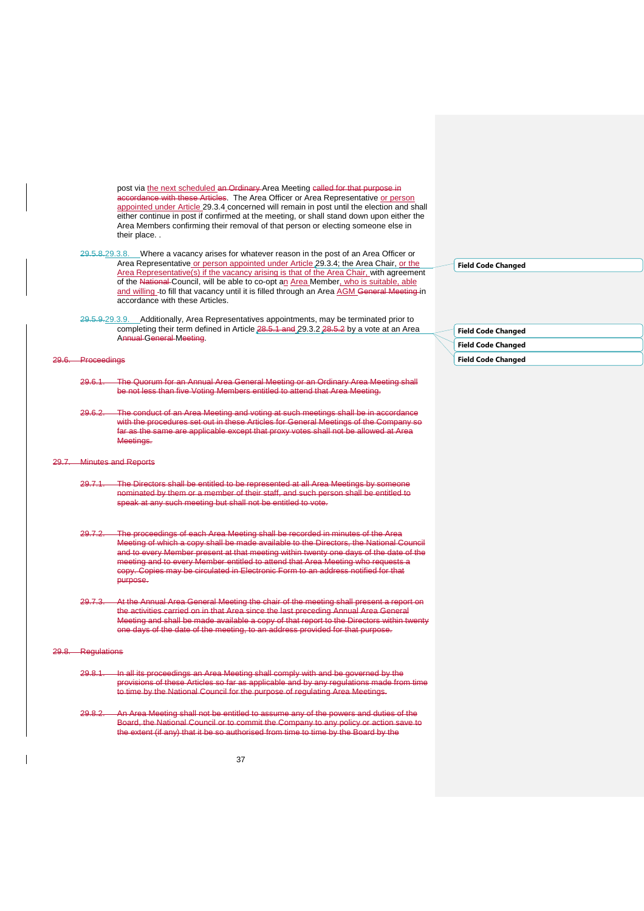post via the next scheduled an Ordinary Area Meeting called for that purpose in accordance with these Articles. The Area Officer or Area Representative or person appointed under Article [29.3.4](#page-36-3) concerned will remain in post until the election and shall either continue in post if confirmed at the meeting, or shall stand down upon either the Area Members confirming their removal of that person or electing someone else in their place. .

- 29.5.8.29.3.8. Where a vacancy arises for whatever reason in the post of an Area Officer or Area Representative or person appointed under Article [29.3.4;](#page-36-3) the Area Chair, or the Area Representative(s) if the vacancy arising is that of the Area Chair, with agreement of the National Council, will be able to co-opt an Area Member, who is suitable, able and willing to fill that vacancy until it is filled through an Area AGM General Meeting in accordance with these Articles.
- 29.5.9.29.3.9. Additionally, Area Representatives appointments, may be terminated prior to completing their term defined in Article 28.5.1 and [29.3.2](#page-36-2) 28.5.2 by a vote at an Area Annual General Meeting.

#### 29.6. Proceedings

- 29.6.1. The Quorum for an Annual Area General Meeting or an Ordinary Area Meeting shall be not less than five Voting Members entitled to attend that Area Meeting.
- 29.6.2. The conduct of an Area Meeting and voting at such meetings shall be in accordance with the procedures set out in these Articles for General Meetings of the Company so far as the same are applicable except that proxy votes shall not be allowed at Area Meetings.

#### **Minutes and Reports**

- 29.7.1. The Directors shall be entitled to be represented at all Area Meetings by someone nominated by them or a member of their staff, and such person shall be entitled to speak at any such meeting but shall not be entitled to vote.
- 29.7.2. The proceedings of each Area Meeting shall be recorded in minutes of the Area Meeting of which a copy shall be made available to the Directors, the National Co and to every Member present at that meeting within twenty one days of the date of the meeting and to every Member entitled to attend that Area Meeting who requests a copy. Copies may be circulated in Electronic Form to an address notified for that purpose.
- 29.7.3. At the Annual Area General Meeting the chair of the meeting shall present a report on the activities carried on in that Area since the last preceding Annual Area General Meeting and shall be made available a copy of that report to the Directors within twenty one days of the date of the meeting, to an address provided for that purpose.

#### Regulations

- 29.8.1. In all its proceedings an Area Meeting shall comply with and be governed by the provisions of these Articles so far as applicable and by any regulations made from time to time by the National Council for the purpose of regulating Area Meetings.
- 29.8.2. An Area Meeting shall not be entitled to assume any of the powers and duties of the Board, the National Council or to commit the Company to any policy or action save to the extent (if any) that it be so authorised from time to time by the Board by the

**Field Code Changed**

| <b>Field Code Changed</b> |
|---------------------------|
| <b>Field Code Changed</b> |
| <b>Field Code Changed</b> |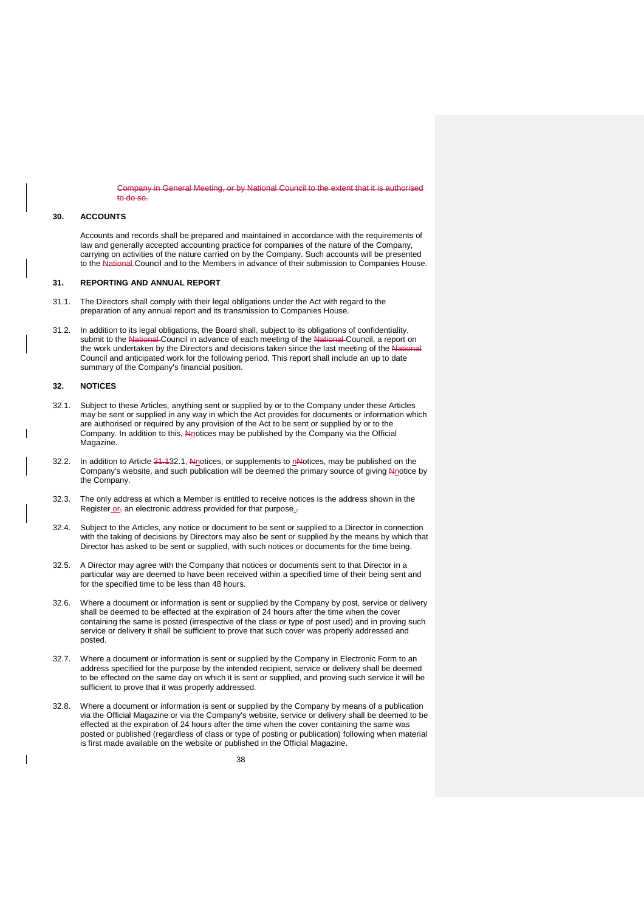**Combing, or by National Council to the extent that it is authoris** to do so.

### <span id="page-38-0"></span>**30. ACCOUNTS**

Accounts and records shall be prepared and maintained in accordance with the requirements of law and generally accepted accounting practice for companies of the nature of the Company, carrying on activities of the nature carried on by the Company. Such accounts will be presented to the National Council and to the Members in advance of their submission to Companies House.

## <span id="page-38-1"></span>**31. REPORTING AND ANNUAL REPORT**

- 31.1. The Directors shall comply with their legal obligations under the Act with regard to the preparation of any annual report and its transmission to Companies House.
- 31.2. In addition to its legal obligations, the Board shall, subject to its obligations of confidentiality, submit to the National Council in advance of each meeting of the National Council, a report on the work undertaken by the Directors and decisions taken since the last meeting of the National Council and anticipated work for the following period. This report shall include an up to date summary of the Company's financial position.

#### <span id="page-38-2"></span>**32. NOTICES**

- <span id="page-38-3"></span>32.1. Subject to these Articles, anything sent or supplied by or to the Company under these Articles may be sent or supplied in any way in which the Act provides for documents or information which are authorised or required by any provision of the Act to be sent or supplied by or to the Company. In addition to this, Nnotices may be published by the Company via the Official Magazine.
- 32.2. In addition to Article  $34.132.1$ , Nnotices, or supplements to nNotices, may be published on the Company's website, and such publication will be deemed the primary source of giving Nnotice by the Company.
- 32.3. The only address at which a Member is entitled to receive notices is the address shown in the Register or, an electronic address provided for that purpose.
- 32.4. Subject to the Articles, any notice or document to be sent or supplied to a Director in connection with the taking of decisions by Directors may also be sent or supplied by the means by which that Director has asked to be sent or supplied, with such notices or documents for the time being.
- 32.5. A Director may agree with the Company that notices or documents sent to that Director in a particular way are deemed to have been received within a specified time of their being sent and for the specified time to be less than 48 hours.
- 32.6. Where a document or information is sent or supplied by the Company by post, service or delivery shall be deemed to be effected at the expiration of 24 hours after the time when the cover containing the same is posted (irrespective of the class or type of post used) and in proving such service or delivery it shall be sufficient to prove that such cover was properly addressed and posted.
- 32.7. Where a document or information is sent or supplied by the Company in Electronic Form to an address specified for the purpose by the intended recipient, service or delivery shall be deemed to be effected on the same day on which it is sent or supplied, and proving such service it will be sufficient to prove that it was properly addressed.
- 32.8. Where a document or information is sent or supplied by the Company by means of a publication via the Official Magazine or via the Company's website, service or delivery shall be deemed to be effected at the expiration of 24 hours after the time when the cover containing the same was posted or published (regardless of class or type of posting or publication) following when material is first made available on the website or published in the Official Magazine.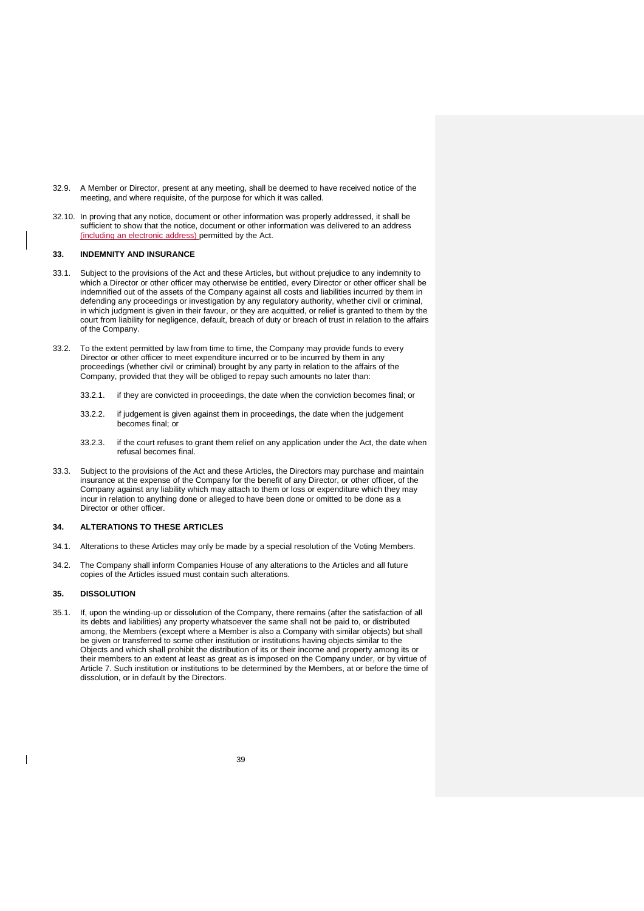- 32.9. A Member or Director, present at any meeting, shall be deemed to have received notice of the meeting, and where requisite, of the purpose for which it was called.
- 32.10. In proving that any notice, document or other information was properly addressed, it shall be sufficient to show that the notice, document or other information was delivered to an address (including an electronic address) permitted by the Act.

## <span id="page-39-0"></span>**33. INDEMNITY AND INSURANCE**

- 33.1. Subject to the provisions of the Act and these Articles, but without prejudice to any indemnity to which a Director or other officer may otherwise be entitled, every Director or other officer shall be indemnified out of the assets of the Company against all costs and liabilities incurred by them in defending any proceedings or investigation by any regulatory authority, whether civil or criminal, in which judgment is given in their favour, or they are acquitted, or relief is granted to them by the court from liability for negligence, default, breach of duty or breach of trust in relation to the affairs of the Company.
- 33.2. To the extent permitted by law from time to time, the Company may provide funds to every Director or other officer to meet expenditure incurred or to be incurred by them in any proceedings (whether civil or criminal) brought by any party in relation to the affairs of the Company, provided that they will be obliged to repay such amounts no later than:
	- 33.2.1. if they are convicted in proceedings, the date when the conviction becomes final; or
	- 33.2.2. if judgement is given against them in proceedings, the date when the judgement becomes final; or
	- 33.2.3. if the court refuses to grant them relief on any application under the Act, the date when refusal becomes final.
- 33.3. Subject to the provisions of the Act and these Articles, the Directors may purchase and maintain insurance at the expense of the Company for the benefit of any Director, or other officer, of the Company against any liability which may attach to them or loss or expenditure which they may incur in relation to anything done or alleged to have been done or omitted to be done as a Director or other officer.

## <span id="page-39-1"></span>**34. ALTERATIONS TO THESE ARTICLES**

- 34.1. Alterations to these Articles may only be made by a special resolution of the Voting Members.
- 34.2. The Company shall inform Companies House of any alterations to the Articles and all future copies of the Articles issued must contain such alterations.

## <span id="page-39-2"></span>**35. DISSOLUTION**

35.1. If, upon the winding-up or dissolution of the Company, there remains (after the satisfaction of all its debts and liabilities) any property whatsoever the same shall not be paid to, or distributed among, the Members (except where a Member is also a Company with similar objects) but shall be given or transferred to some other institution or institutions having objects similar to the Objects and which shall prohibit the distribution of its or their income and property among its or their members to an extent at least as great as is imposed on the Company under, or by virtue of Article [7.](#page-12-0) Such institution or institutions to be determined by the Members, at or before the time of dissolution, or in default by the Directors.